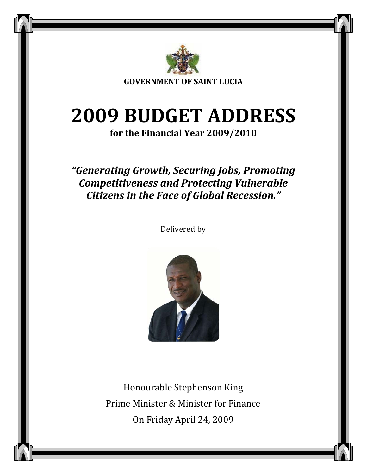

**GOVERNMENT OF SAINT LUCIA**

# **2009 BUDGET ADDRESS**

**for the Financial Year 2009/2010**

# *"Generating Growth, Securing Jobs, Promoting Competitiveness and Protecting Vulnerable Citizens in the Face of Global Recession."*

Delivered by



Honourable Stephenson King Prime Minister & Minister for Finance On Friday April 24, 2009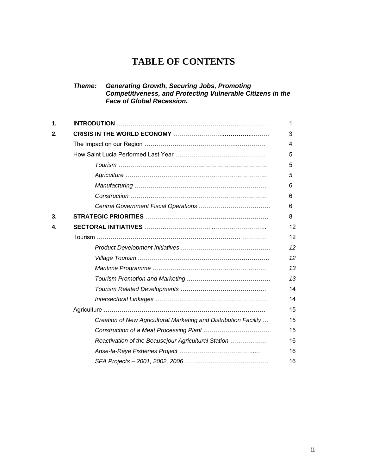# **TABLE OF CONTENTS**

#### *Theme: Generating Growth, Securing Jobs, Promoting Competitiveness, and Protecting Vulnerable Citizens in the Face of Global Recession.*

| $\mathbf 1$ |                                                                  | 1  |
|-------------|------------------------------------------------------------------|----|
| 2.          |                                                                  | 3  |
|             |                                                                  | 4  |
|             |                                                                  | 5  |
|             |                                                                  | 5  |
|             |                                                                  | 5  |
|             |                                                                  | 6  |
|             |                                                                  | 6  |
|             |                                                                  | 6  |
| 3.          |                                                                  | 8  |
| 4.          |                                                                  | 12 |
|             |                                                                  | 12 |
|             |                                                                  | 12 |
|             |                                                                  | 12 |
|             |                                                                  | 13 |
|             |                                                                  | 13 |
|             |                                                                  | 14 |
|             |                                                                  | 14 |
|             |                                                                  | 15 |
|             | Creation of New Agricultural Marketing and Distribution Facility | 15 |
|             |                                                                  | 15 |
|             | Reactivation of the Beausejour Agricultural Station              | 16 |
|             |                                                                  | 16 |
|             |                                                                  | 16 |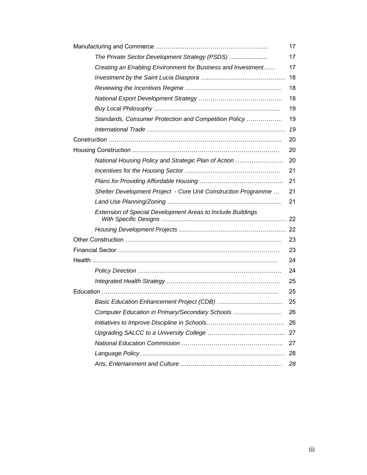|                                                                | 17 |
|----------------------------------------------------------------|----|
| The Private Sector Development Strategy (PSDS)                 | 17 |
| Creating an Enabling Environment for Business and Investment   | 17 |
|                                                                | 18 |
|                                                                | 18 |
|                                                                | 18 |
|                                                                | 19 |
| Standards, Consumer Protection and Competition Policy          | 19 |
|                                                                | 19 |
|                                                                | 20 |
|                                                                | 20 |
| National Housing Policy and Strategic Plan of Action           | 20 |
|                                                                | 21 |
|                                                                | 21 |
| Shelter Development Project - Core Unit Construction Programme | 21 |
|                                                                | 21 |
| Extension of Special Development Areas to Include Buildings    |    |
|                                                                |    |
|                                                                | 23 |
|                                                                | 23 |
|                                                                | 24 |
|                                                                | 24 |
|                                                                | 25 |
|                                                                | 25 |
|                                                                | 25 |
| Computer Education in Primary/Secondary Schools                | 26 |
|                                                                | 26 |
|                                                                |    |
|                                                                | 27 |
|                                                                | 28 |
|                                                                | 28 |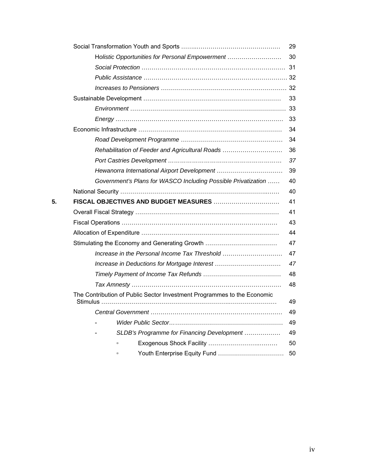|    |                                                                         | 29 |
|----|-------------------------------------------------------------------------|----|
|    | Holistic Opportunities for Personal Empowerment                         | 30 |
|    |                                                                         |    |
|    |                                                                         |    |
|    |                                                                         |    |
|    |                                                                         | 33 |
|    |                                                                         |    |
|    |                                                                         | 33 |
|    |                                                                         | 34 |
|    |                                                                         | 34 |
|    | Rehabilitation of Feeder and Agricultural Roads                         | 36 |
|    |                                                                         | 37 |
|    |                                                                         | 39 |
|    | Government's Plans for WASCO Including Possible Privatization           | 40 |
|    |                                                                         | 40 |
| 5. |                                                                         | 41 |
|    |                                                                         | 41 |
|    |                                                                         | 43 |
|    |                                                                         | 44 |
|    | Stimulating the Economy and Generating Growth                           | 47 |
|    | Increase in the Personal Income Tax Threshold                           | 47 |
|    | Increase in Deductions for Mortgage Interest                            | 47 |
|    |                                                                         | 48 |
|    |                                                                         | 48 |
|    | The Contribution of Public Sector Investment Programmes to the Economic | 49 |
|    |                                                                         | 49 |
|    |                                                                         | 49 |
|    | SLDB's Programme for Financing Development                              | 49 |
|    | $\Box$                                                                  | 50 |
|    | Youth Enterprise Equity Fund<br>$\Box$                                  | 50 |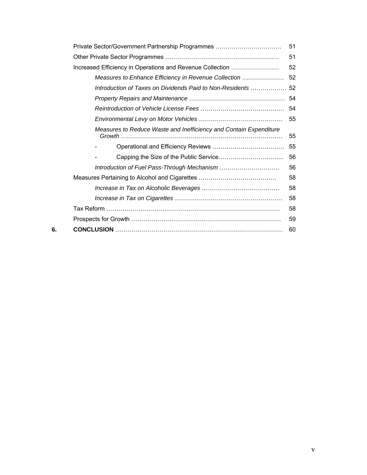|    | Private Sector/Government Partnership Programmes                  | 51 |
|----|-------------------------------------------------------------------|----|
|    |                                                                   | 51 |
|    | Increased Efficiency in Operations and Revenue Collection         | 52 |
|    | Measures to Enhance Efficiency in Revenue Collection              | 52 |
|    | Introduction of Taxes on Dividends Paid to Non-Residents  52      |    |
|    |                                                                   |    |
|    |                                                                   |    |
|    |                                                                   | 55 |
|    | Measures to Reduce Waste and Inefficiency and Contain Expenditure | 55 |
|    |                                                                   | 55 |
|    |                                                                   | 56 |
|    |                                                                   | 56 |
|    |                                                                   | 58 |
|    |                                                                   | 58 |
|    |                                                                   | 58 |
|    |                                                                   | 58 |
|    |                                                                   | 59 |
| 6. |                                                                   | 60 |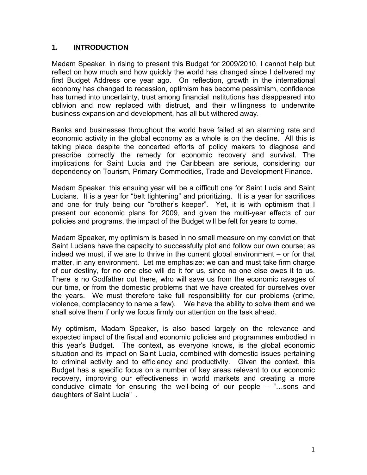# **1. INTRODUCTION**

Madam Speaker, in rising to present this Budget for 2009/2010, I cannot help but reflect on how much and how quickly the world has changed since I delivered my first Budget Address one year ago. On reflection, growth in the international economy has changed to recession, optimism has become pessimism, confidence has turned into uncertainty, trust among financial institutions has disappeared into oblivion and now replaced with distrust, and their willingness to underwrite business expansion and development, has all but withered away.

Banks and businesses throughout the world have failed at an alarming rate and economic activity in the global economy as a whole is on the decline. All this is taking place despite the concerted efforts of policy makers to diagnose and prescribe correctly the remedy for economic recovery and survival. The implications for Saint Lucia and the Caribbean are serious, considering our dependency on Tourism, Primary Commodities, Trade and Development Finance.

Madam Speaker, this ensuing year will be a difficult one for Saint Lucia and Saint Lucians. It is a year for "belt tightening" and prioritizing. It is a year for sacrifices and one for truly being our "brother's keeper". Yet, it is with optimism that I present our economic plans for 2009, and given the multi-year effects of our policies and programs, the impact of the Budget will be felt for years to come.

Madam Speaker, my optimism is based in no small measure on my conviction that Saint Lucians have the capacity to successfully plot and follow our own course; as indeed we must, if we are to thrive in the current global environment – or for that matter, in any environment. Let me emphasize: we can and must take firm charge of our destiny, for no one else will do it for us, since no one else owes it to us. There is no Godfather out there, who will save us from the economic ravages of our time, or from the domestic problems that we have created for ourselves over the years. We must therefore take full responsibility for our problems (crime, violence, complacency to name a few). We have the ability to solve them and we shall solve them if only we focus firmly our attention on the task ahead.

My optimism, Madam Speaker, is also based largely on the relevance and expected impact of the fiscal and economic policies and programmes embodied in this year's Budget. The context, as everyone knows, is the global economic situation and its impact on Saint Lucia, combined with domestic issues pertaining to criminal activity and to efficiency and productivity. Given the context, this Budget has a specific focus on a number of key areas relevant to our economic recovery, improving our effectiveness in world markets and creating a more conducive climate for ensuring the well-being of our people – "…sons and daughters of Saint Lucia" .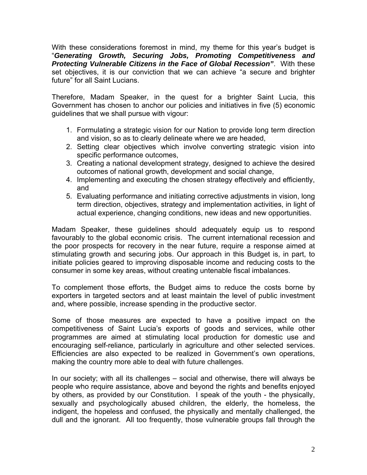With these considerations foremost in mind, my theme for this year's budget is "*Generating Growth, Securing Jobs, Promoting Competitiveness and Protecting Vulnerable Citizens in the Face of Global Recession"*. With these set objectives, it is our conviction that we can achieve "a secure and brighter future" for all Saint Lucians.

Therefore, Madam Speaker, in the quest for a brighter Saint Lucia, this Government has chosen to anchor our policies and initiatives in five (5) economic guidelines that we shall pursue with vigour:

- 1. Formulating a strategic vision for our Nation to provide long term direction and vision, so as to clearly delineate where we are headed,
- 2. Setting clear objectives which involve converting strategic vision into specific performance outcomes,
- 3. Creating a national development strategy, designed to achieve the desired outcomes of national growth, development and social change,
- 4. Implementing and executing the chosen strategy effectively and efficiently, and
- 5. Evaluating performance and initiating corrective adjustments in vision, long term direction, objectives, strategy and implementation activities, in light of actual experience, changing conditions, new ideas and new opportunities.

Madam Speaker, these guidelines should adequately equip us to respond favourably to the global economic crisis. The current international recession and the poor prospects for recovery in the near future, require a response aimed at stimulating growth and securing jobs. Our approach in this Budget is, in part, to initiate policies geared to improving disposable income and reducing costs to the consumer in some key areas, without creating untenable fiscal imbalances.

To complement those efforts, the Budget aims to reduce the costs borne by exporters in targeted sectors and at least maintain the level of public investment and, where possible, increase spending in the productive sector.

Some of those measures are expected to have a positive impact on the competitiveness of Saint Lucia's exports of goods and services, while other programmes are aimed at stimulating local production for domestic use and encouraging self-reliance, particularly in agriculture and other selected services. Efficiencies are also expected to be realized in Government's own operations, making the country more able to deal with future challenges.

In our society; with all its challenges – social and otherwise, there will always be people who require assistance, above and beyond the rights and benefits enjoyed by others, as provided by our Constitution. I speak of the youth - the physically, sexually and psychologically abused children, the elderly, the homeless, the indigent, the hopeless and confused, the physically and mentally challenged, the dull and the ignorant. All too frequently, those vulnerable groups fall through the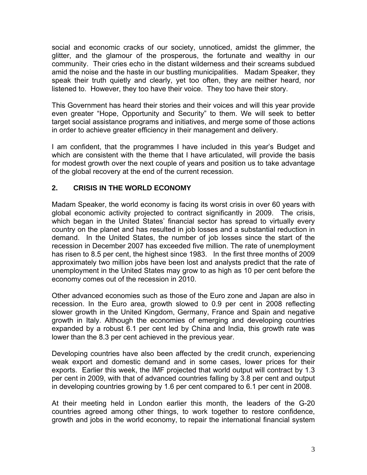social and economic cracks of our society, unnoticed, amidst the glimmer, the glitter, and the glamour of the prosperous, the fortunate and wealthy in our community. Their cries echo in the distant wilderness and their screams subdued amid the noise and the haste in our bustling municipalities. Madam Speaker, they speak their truth quietly and clearly, yet too often, they are neither heard, nor listened to. However, they too have their voice. They too have their story.

This Government has heard their stories and their voices and will this year provide even greater "Hope, Opportunity and Security" to them. We will seek to better target social assistance programs and initiatives, and merge some of those actions in order to achieve greater efficiency in their management and delivery.

I am confident, that the programmes I have included in this year's Budget and which are consistent with the theme that I have articulated, will provide the basis for modest growth over the next couple of years and position us to take advantage of the global recovery at the end of the current recession.

# **2. CRISIS IN THE WORLD ECONOMY**

Madam Speaker, the world economy is facing its worst crisis in over 60 years with global economic activity projected to contract significantly in 2009. The crisis, which began in the United States' financial sector has spread to virtually every country on the planet and has resulted in job losses and a substantial reduction in demand. In the United States, the number of job losses since the start of the recession in December 2007 has exceeded five million. The rate of unemployment has risen to 8.5 per cent, the highest since 1983. In the first three months of 2009 approximately two million jobs have been lost and analysts predict that the rate of unemployment in the United States may grow to as high as 10 per cent before the economy comes out of the recession in 2010.

Other advanced economies such as those of the Euro zone and Japan are also in recession. In the Euro area, growth slowed to 0.9 per cent in 2008 reflecting slower growth in the United Kingdom, Germany, France and Spain and negative growth in Italy. Although the economies of emerging and developing countries expanded by a robust 6.1 per cent led by China and India, this growth rate was lower than the 8.3 per cent achieved in the previous year.

Developing countries have also been affected by the credit crunch, experiencing weak export and domestic demand and in some cases, lower prices for their exports. Earlier this week, the IMF projected that world output will contract by 1.3 per cent in 2009, with that of advanced countries falling by 3.8 per cent and output in developing countries growing by 1.6 per cent compared to 6.1 per cent in 2008.

At their meeting held in London earlier this month, the leaders of the G-20 countries agreed among other things, to work together to restore confidence, growth and jobs in the world economy, to repair the international financial system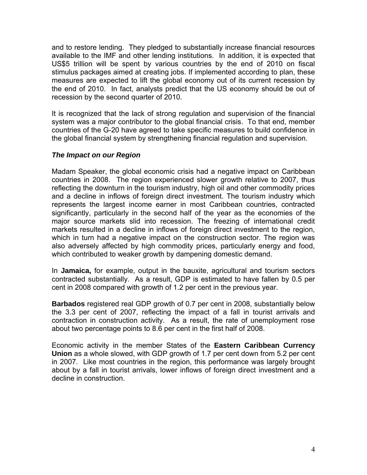and to restore lending. They pledged to substantially increase financial resources available to the IMF and other lending institutions. In addition, it is expected that US\$5 trillion will be spent by various countries by the end of 2010 on fiscal stimulus packages aimed at creating jobs. If implemented according to plan, these measures are expected to lift the global economy out of its current recession by the end of 2010. In fact, analysts predict that the US economy should be out of recession by the second quarter of 2010.

It is recognized that the lack of strong regulation and supervision of the financial system was a major contributor to the global financial crisis. To that end, member countries of the G-20 have agreed to take specific measures to build confidence in the global financial system by strengthening financial regulation and supervision.

# *The Impact on our Region*

Madam Speaker, the global economic crisis had a negative impact on Caribbean countries in 2008. The region experienced slower growth relative to 2007, thus reflecting the downturn in the tourism industry, high oil and other commodity prices and a decline in inflows of foreign direct investment. The tourism industry which represents the largest income earner in most Caribbean countries, contracted significantly, particularly in the second half of the year as the economies of the major source markets slid into recession. The freezing of international credit markets resulted in a decline in inflows of foreign direct investment to the region, which in turn had a negative impact on the construction sector. The region was also adversely affected by high commodity prices, particularly energy and food, which contributed to weaker growth by dampening domestic demand.

In **Jamaica,** for example, output in the bauxite, agricultural and tourism sectors contracted substantially. As a result, GDP is estimated to have fallen by 0.5 per cent in 2008 compared with growth of 1.2 per cent in the previous year.

**Barbados** registered real GDP growth of 0.7 per cent in 2008, substantially below the 3.3 per cent of 2007, reflecting the impact of a fall in tourist arrivals and contraction in construction activity. As a result, the rate of unemployment rose about two percentage points to 8.6 per cent in the first half of 2008.

Economic activity in the member States of the **Eastern Caribbean Currency Union** as a whole slowed, with GDP growth of 1.7 per cent down from 5.2 per cent in 2007. Like most countries in the region, this performance was largely brought about by a fall in tourist arrivals, lower inflows of foreign direct investment and a decline in construction.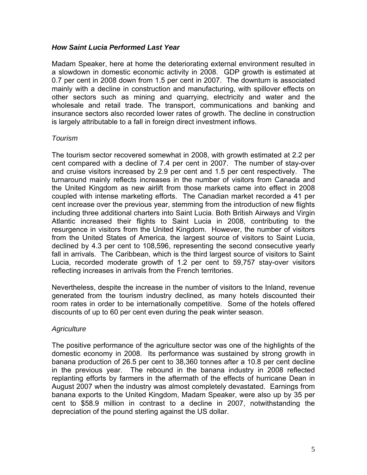#### *How Saint Lucia Performed Last Year*

Madam Speaker, here at home the deteriorating external environment resulted in a slowdown in domestic economic activity in 2008. GDP growth is estimated at 0.7 per cent in 2008 down from 1.5 per cent in 2007. The downturn is associated mainly with a decline in construction and manufacturing, with spillover effects on other sectors such as mining and quarrying, electricity and water and the wholesale and retail trade. The transport, communications and banking and insurance sectors also recorded lower rates of growth. The decline in construction is largely attributable to a fall in foreign direct investment inflows.

# *Tourism*

The tourism sector recovered somewhat in 2008, with growth estimated at 2.2 per cent compared with a decline of 7.4 per cent in 2007. The number of stay-over and cruise visitors increased by 2.9 per cent and 1.5 per cent respectively. The turnaround mainly reflects increases in the number of visitors from Canada and the United Kingdom as new airlift from those markets came into effect in 2008 coupled with intense marketing efforts. The Canadian market recorded a 41 per cent increase over the previous year, stemming from the introduction of new flights including three additional charters into Saint Lucia. Both British Airways and Virgin Atlantic increased their flights to Saint Lucia in 2008, contributing to the resurgence in visitors from the United Kingdom. However, the number of visitors from the United States of America, the largest source of visitors to Saint Lucia, declined by 4.3 per cent to 108,596, representing the second consecutive yearly fall in arrivals. The Caribbean, which is the third largest source of visitors to Saint Lucia, recorded moderate growth of 1.2 per cent to 59,757 stay-over visitors reflecting increases in arrivals from the French territories.

Nevertheless, despite the increase in the number of visitors to the Inland, revenue generated from the tourism industry declined, as many hotels discounted their room rates in order to be internationally competitive. Some of the hotels offered discounts of up to 60 per cent even during the peak winter season.

#### *Agriculture*

The positive performance of the agriculture sector was one of the highlights of the domestic economy in 2008. Its performance was sustained by strong growth in banana production of 26.5 per cent to 38,360 tonnes after a 10.8 per cent decline in the previous year. The rebound in the banana industry in 2008 reflected replanting efforts by farmers in the aftermath of the effects of hurricane Dean in August 2007 when the industry was almost completely devastated. Earnings from banana exports to the United Kingdom, Madam Speaker, were also up by 35 per cent to \$58.9 million in contrast to a decline in 2007, notwithstanding the depreciation of the pound sterling against the US dollar.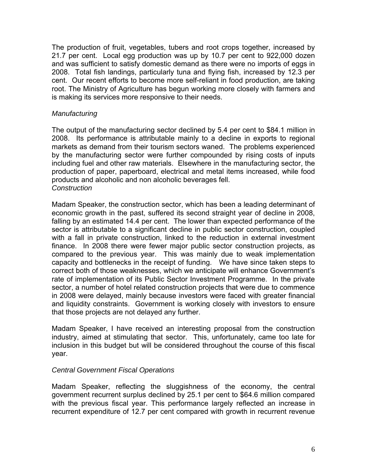The production of fruit, vegetables, tubers and root crops together, increased by 21.7 per cent. Local egg production was up by 10.7 per cent to 922,000 dozen and was sufficient to satisfy domestic demand as there were no imports of eggs in 2008. Total fish landings, particularly tuna and flying fish, increased by 12.3 per cent. Our recent efforts to become more self-reliant in food production, are taking root. The Ministry of Agriculture has begun working more closely with farmers and is making its services more responsive to their needs.

### *Manufacturing*

The output of the manufacturing sector declined by 5.4 per cent to \$84.1 million in 2008. Its performance is attributable mainly to a decline in exports to regional markets as demand from their tourism sectors waned. The problems experienced by the manufacturing sector were further compounded by rising costs of inputs including fuel and other raw materials. Elsewhere in the manufacturing sector, the production of paper, paperboard, electrical and metal items increased, while food products and alcoholic and non alcoholic beverages fell. *Construction* 

Madam Speaker, the construction sector, which has been a leading determinant of economic growth in the past, suffered its second straight year of decline in 2008, falling by an estimated 14.4 per cent. The lower than expected performance of the sector is attributable to a significant decline in public sector construction, coupled with a fall in private construction, linked to the reduction in external investment finance. In 2008 there were fewer major public sector construction projects, as compared to the previous year. This was mainly due to weak implementation capacity and bottlenecks in the receipt of funding. We have since taken steps to correct both of those weaknesses, which we anticipate will enhance Government's rate of implementation of its Public Sector Investment Programme. In the private sector, a number of hotel related construction projects that were due to commence in 2008 were delayed, mainly because investors were faced with greater financial and liquidity constraints. Government is working closely with investors to ensure that those projects are not delayed any further.

Madam Speaker, I have received an interesting proposal from the construction industry, aimed at stimulating that sector. This, unfortunately, came too late for inclusion in this budget but will be considered throughout the course of this fiscal year.

#### *Central Government Fiscal Operations*

Madam Speaker, reflecting the sluggishness of the economy, the central government recurrent surplus declined by 25.1 per cent to \$64.6 million compared with the previous fiscal year. This performance largely reflected an increase in recurrent expenditure of 12.7 per cent compared with growth in recurrent revenue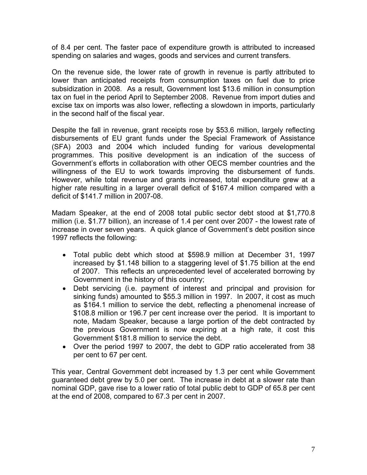of 8.4 per cent. The faster pace of expenditure growth is attributed to increased spending on salaries and wages, goods and services and current transfers.

On the revenue side, the lower rate of growth in revenue is partly attributed to lower than anticipated receipts from consumption taxes on fuel due to price subsidization in 2008. As a result, Government lost \$13.6 million in consumption tax on fuel in the period April to September 2008. Revenue from import duties and excise tax on imports was also lower, reflecting a slowdown in imports, particularly in the second half of the fiscal year.

Despite the fall in revenue, grant receipts rose by \$53.6 million, largely reflecting disbursements of EU grant funds under the Special Framework of Assistance (SFA) 2003 and 2004 which included funding for various developmental programmes. This positive development is an indication of the success of Government's efforts in collaboration with other OECS member countries and the willingness of the EU to work towards improving the disbursement of funds. However, while total revenue and grants increased, total expenditure grew at a higher rate resulting in a larger overall deficit of \$167.4 million compared with a deficit of \$141.7 million in 2007-08.

Madam Speaker, at the end of 2008 total public sector debt stood at \$1,770.8 million (i.e. \$1.77 billion), an increase of 1.4 per cent over 2007 - the lowest rate of increase in over seven years. A quick glance of Government's debt position since 1997 reflects the following:

- Total public debt which stood at \$598.9 million at December 31, 1997 increased by \$1.148 billion to a staggering level of \$1.75 billion at the end of 2007. This reflects an unprecedented level of accelerated borrowing by Government in the history of this country;
- Debt servicing (i.e. payment of interest and principal and provision for sinking funds) amounted to \$55.3 million in 1997. In 2007, it cost as much as \$164.1 million to service the debt, reflecting a phenomenal increase of \$108.8 million or 196.7 per cent increase over the period. It is important to note, Madam Speaker, because a large portion of the debt contracted by the previous Government is now expiring at a high rate, it cost this Government \$181.8 million to service the debt.
- Over the period 1997 to 2007, the debt to GDP ratio accelerated from 38 per cent to 67 per cent.

This year, Central Government debt increased by 1.3 per cent while Government guaranteed debt grew by 5.0 per cent. The increase in debt at a slower rate than nominal GDP, gave rise to a lower ratio of total public debt to GDP of 65.8 per cent at the end of 2008, compared to 67.3 per cent in 2007.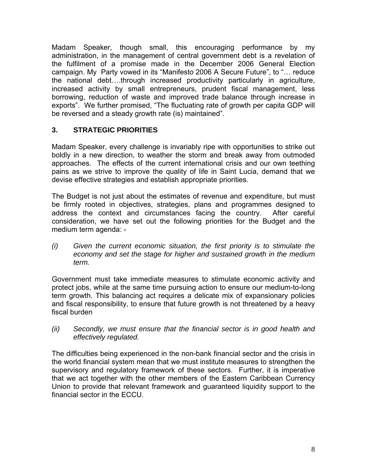Madam Speaker, though small, this encouraging performance by my administration, in the management of central government debt is a revelation of the fulfilment of a promise made in the December 2006 General Election campaign. My Party vowed in its "Manifesto 2006 A Secure Future", to "… reduce the national debt….through increased productivity particularly in agriculture, increased activity by small entrepreneurs, prudent fiscal management, less borrowing, reduction of waste and improved trade balance through increase in exports". We further promised, "The fluctuating rate of growth per capita GDP will be reversed and a steady growth rate (is) maintained".

# **3. STRATEGIC PRIORITIES**

Madam Speaker, every challenge is invariably ripe with opportunities to strike out boldly in a new direction, to weather the storm and break away from outmoded approaches. The effects of the current international crisis and our own teething pains as we strive to improve the quality of life in Saint Lucia, demand that we devise effective strategies and establish appropriate priorities.

The Budget is not just about the estimates of revenue and expenditure, but must be firmly rooted in objectives, strategies, plans and programmes designed to address the context and circumstances facing the country. After careful consideration, we have set out the following priorities for the Budget and the medium term agenda: -

*(i) Given the current economic situation, the first priority is to stimulate the economy and set the stage for higher and sustained growth in the medium term.* 

Government must take immediate measures to stimulate economic activity and protect jobs, while at the same time pursuing action to ensure our medium-to-long term growth. This balancing act requires a delicate mix of expansionary policies and fiscal responsibility, to ensure that future growth is not threatened by a heavy fiscal burden

*(ii) Secondly, we must ensure that the financial sector is in good health and effectively regulated.* 

The difficulties being experienced in the non-bank financial sector and the crisis in the world financial system mean that we must institute measures to strengthen the supervisory and regulatory framework of these sectors. Further, it is imperative that we act together with the other members of the Eastern Caribbean Currency Union to provide that relevant framework and guaranteed liquidity support to the financial sector in the ECCU.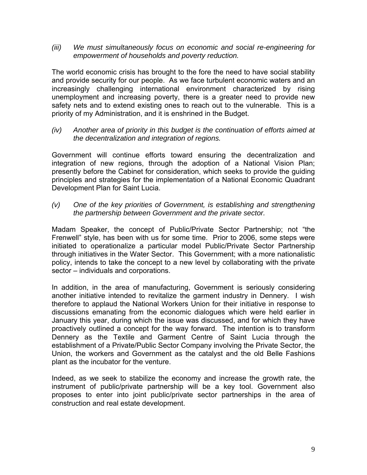*(iii) We must simultaneously focus on economic and social re-engineering for empowerment of households and poverty reduction.* 

The world economic crisis has brought to the fore the need to have social stability and provide security for our people. As we face turbulent economic waters and an increasingly challenging international environment characterized by rising unemployment and increasing poverty, there is a greater need to provide new safety nets and to extend existing ones to reach out to the vulnerable. This is a priority of my Administration, and it is enshrined in the Budget.

*(iv) Another area of priority in this budget is the continuation of efforts aimed at the decentralization and integration of regions.* 

Government will continue efforts toward ensuring the decentralization and integration of new regions, through the adoption of a National Vision Plan; presently before the Cabinet for consideration, which seeks to provide the guiding principles and strategies for the implementation of a National Economic Quadrant Development Plan for Saint Lucia.

*(v) One of the key priorities of Government, is establishing and strengthening the partnership between Government and the private sector.* 

Madam Speaker, the concept of Public/Private Sector Partnership; not "the Frenwell" style, has been with us for some time. Prior to 2006, some steps were initiated to operationalize a particular model Public/Private Sector Partnership through initiatives in the Water Sector. This Government; with a more nationalistic policy, intends to take the concept to a new level by collaborating with the private sector – individuals and corporations.

In addition, in the area of manufacturing, Government is seriously considering another initiative intended to revitalize the garment industry in Dennery. I wish therefore to applaud the National Workers Union for their initiative in response to discussions emanating from the economic dialogues which were held earlier in January this year, during which the issue was discussed, and for which they have proactively outlined a concept for the way forward. The intention is to transform Dennery as the Textile and Garment Centre of Saint Lucia through the establishment of a Private/Public Sector Company involving the Private Sector, the Union, the workers and Government as the catalyst and the old Belle Fashions plant as the incubator for the venture.

Indeed, as we seek to stabilize the economy and increase the growth rate, the instrument of public/private partnership will be a key tool. Government also proposes to enter into joint public/private sector partnerships in the area of construction and real estate development.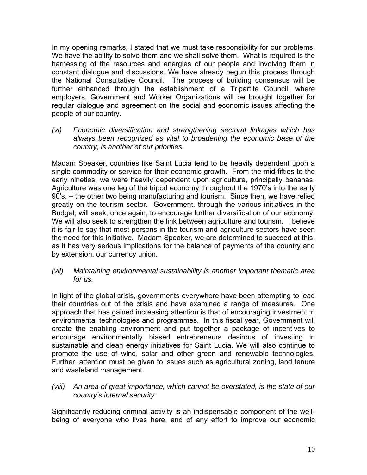In my opening remarks, I stated that we must take responsibility for our problems. We have the ability to solve them and we shall solve them. What is required is the harnessing of the resources and energies of our people and involving them in constant dialogue and discussions. We have already begun this process through the National Consultative Council. The process of building consensus will be further enhanced through the establishment of a Tripartite Council, where employers, Government and Worker Organizations will be brought together for regular dialogue and agreement on the social and economic issues affecting the people of our country.

*(vi) Economic diversification and strengthening sectoral linkages which has always been recognized as vital to broadening the economic base of the country, is another of our priorities.* 

Madam Speaker, countries like Saint Lucia tend to be heavily dependent upon a single commodity or service for their economic growth. From the mid-fifties to the early nineties, we were heavily dependent upon agriculture, principally bananas. Agriculture was one leg of the tripod economy throughout the 1970's into the early 90's. – the other two being manufacturing and tourism. Since then, we have relied greatly on the tourism sector. Government, through the various initiatives in the Budget, will seek, once again, to encourage further diversification of our economy. We will also seek to strengthen the link between agriculture and tourism. I believe it is fair to say that most persons in the tourism and agriculture sectors have seen the need for this initiative. Madam Speaker, we are determined to succeed at this, as it has very serious implications for the balance of payments of the country and by extension, our currency union.

*(vii) Maintaining environmental sustainability is another important thematic area for us.* 

In light of the global crisis, governments everywhere have been attempting to lead their countries out of the crisis and have examined a range of measures. One approach that has gained increasing attention is that of encouraging investment in environmental technologies and programmes. In this fiscal year, Government will create the enabling environment and put together a package of incentives to encourage environmentally biased entrepreneurs desirous of investing in sustainable and clean energy initiatives for Saint Lucia. We will also continue to promote the use of wind, solar and other green and renewable technologies. Further, attention must be given to issues such as agricultural zoning, land tenure and wasteland management.

*(viii) An area of great importance, which cannot be overstated, is the state of our country's internal security* 

Significantly reducing criminal activity is an indispensable component of the wellbeing of everyone who lives here, and of any effort to improve our economic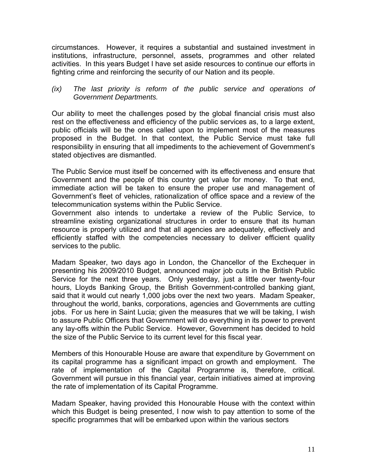circumstances. However, it requires a substantial and sustained investment in institutions, infrastructure, personnel, assets, programmes and other related activities. In this years Budget I have set aside resources to continue our efforts in fighting crime and reinforcing the security of our Nation and its people.

#### *(ix) The last priority is reform of the public service and operations of Government Departments.*

Our ability to meet the challenges posed by the global financial crisis must also rest on the effectiveness and efficiency of the public services as, to a large extent, public officials will be the ones called upon to implement most of the measures proposed in the Budget. In that context, the Public Service must take full responsibility in ensuring that all impediments to the achievement of Government's stated objectives are dismantled.

The Public Service must itself be concerned with its effectiveness and ensure that Government and the people of this country get value for money. To that end, immediate action will be taken to ensure the proper use and management of Government's fleet of vehicles, rationalization of office space and a review of the telecommunication systems within the Public Service.

Government also intends to undertake a review of the Public Service, to streamline existing organizational structures in order to ensure that its human resource is properly utilized and that all agencies are adequately, effectively and efficiently staffed with the competencies necessary to deliver efficient quality services to the public.

Madam Speaker, two days ago in London, the Chancellor of the Exchequer in presenting his 2009/2010 Budget, announced major job cuts in the British Public Service for the next three years. Only yesterday, just a little over twenty-four hours, Lloyds Banking Group, the British Government-controlled banking giant, said that it would cut nearly 1,000 jobs over the next two years. Madam Speaker, throughout the world, banks, corporations, agencies and Governments are cutting jobs. For us here in Saint Lucia; given the measures that we will be taking, I wish to assure Public Officers that Government will do everything in its power to prevent any lay-offs within the Public Service. However, Government has decided to hold the size of the Public Service to its current level for this fiscal year.

Members of this Honourable House are aware that expenditure by Government on its capital programme has a significant impact on growth and employment. The rate of implementation of the Capital Programme is, therefore, critical. Government will pursue in this financial year, certain initiatives aimed at improving the rate of implementation of its Capital Programme.

Madam Speaker, having provided this Honourable House with the context within which this Budget is being presented, I now wish to pay attention to some of the specific programmes that will be embarked upon within the various sectors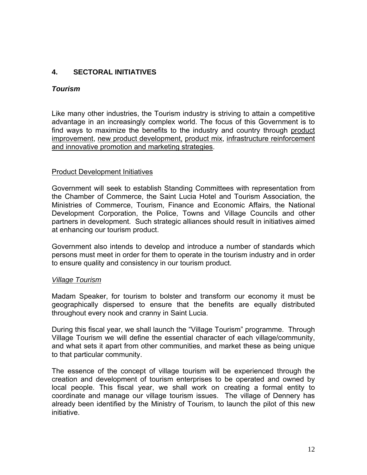# **4. SECTORAL INITIATIVES**

#### *Tourism*

Like many other industries, the Tourism industry is striving to attain a competitive advantage in an increasingly complex world. The focus of this Government is to find ways to maximize the benefits to the industry and country through product improvement, new product development, product mix, infrastructure reinforcement and innovative promotion and marketing strategies.

#### Product Development Initiatives

Government will seek to establish Standing Committees with representation from the Chamber of Commerce, the Saint Lucia Hotel and Tourism Association, the Ministries of Commerce, Tourism, Finance and Economic Affairs, the National Development Corporation, the Police, Towns and Village Councils and other partners in development. Such strategic alliances should result in initiatives aimed at enhancing our tourism product.

Government also intends to develop and introduce a number of standards which persons must meet in order for them to operate in the tourism industry and in order to ensure quality and consistency in our tourism product.

#### *Village Tourism*

Madam Speaker, for tourism to bolster and transform our economy it must be geographically dispersed to ensure that the benefits are equally distributed throughout every nook and cranny in Saint Lucia.

During this fiscal year, we shall launch the "Village Tourism" programme. Through Village Tourism we will define the essential character of each village/community, and what sets it apart from other communities, and market these as being unique to that particular community.

The essence of the concept of village tourism will be experienced through the creation and development of tourism enterprises to be operated and owned by local people. This fiscal year, we shall work on creating a formal entity to coordinate and manage our village tourism issues. The village of Dennery has already been identified by the Ministry of Tourism, to launch the pilot of this new initiative.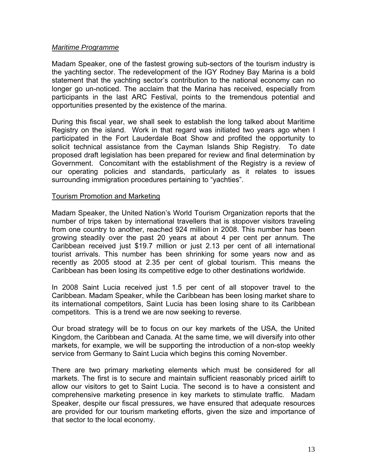#### *Maritime Programme*

Madam Speaker, one of the fastest growing sub-sectors of the tourism industry is the yachting sector. The redevelopment of the IGY Rodney Bay Marina is a bold statement that the yachting sector's contribution to the national economy can no longer go un-noticed. The acclaim that the Marina has received, especially from participants in the last ARC Festival, points to the tremendous potential and opportunities presented by the existence of the marina.

During this fiscal year, we shall seek to establish the long talked about Maritime Registry on the island. Work in that regard was initiated two years ago when I participated in the Fort Lauderdale Boat Show and profited the opportunity to solicit technical assistance from the Cayman Islands Ship Registry. To date proposed draft legislation has been prepared for review and final determination by Government. Concomitant with the establishment of the Registry is a review of our operating policies and standards, particularly as it relates to issues surrounding immigration procedures pertaining to "yachties".

#### Tourism Promotion and Marketing

Madam Speaker, the United Nation's World Tourism Organization reports that the number of trips taken by international travellers that is stopover visitors traveling from one country to another, reached 924 million in 2008. This number has been growing steadily over the past 20 years at about 4 per cent per annum. The Caribbean received just \$19.7 million or just 2.13 per cent of all international tourist arrivals. This number has been shrinking for some years now and as recently as 2005 stood at 2.35 per cent of global tourism. This means the Caribbean has been losing its competitive edge to other destinations worldwide.

In 2008 Saint Lucia received just 1.5 per cent of all stopover travel to the Caribbean. Madam Speaker, while the Caribbean has been losing market share to its international competitors, Saint Lucia has been losing share to its Caribbean competitors. This is a trend we are now seeking to reverse.

Our broad strategy will be to focus on our key markets of the USA, the United Kingdom, the Caribbean and Canada. At the same time, we will diversify into other markets, for example, we will be supporting the introduction of a non-stop weekly service from Germany to Saint Lucia which begins this coming November.

There are two primary marketing elements which must be considered for all markets. The first is to secure and maintain sufficient reasonably priced airlift to allow our visitors to get to Saint Lucia. The second is to have a consistent and comprehensive marketing presence in key markets to stimulate traffic. Madam Speaker, despite our fiscal pressures, we have ensured that adequate resources are provided for our tourism marketing efforts, given the size and importance of that sector to the local economy.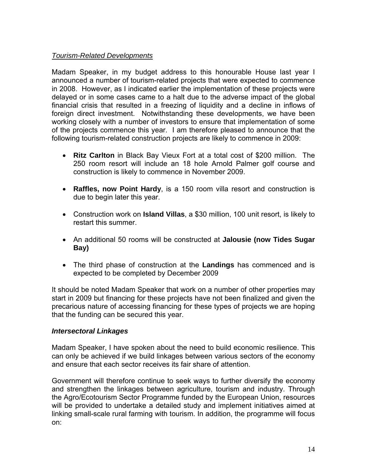# *Tourism-Related Developments*

Madam Speaker, in my budget address to this honourable House last year I announced a number of tourism-related projects that were expected to commence in 2008. However, as I indicated earlier the implementation of these projects were delayed or in some cases came to a halt due to the adverse impact of the global financial crisis that resulted in a freezing of liquidity and a decline in inflows of foreign direct investment. Notwithstanding these developments, we have been working closely with a number of investors to ensure that implementation of some of the projects commence this year. I am therefore pleased to announce that the following tourism-related construction projects are likely to commence in 2009:

- **Ritz Carlton** in Black Bay Vieux Fort at a total cost of \$200 million. The 250 room resort will include an 18 hole Arnold Palmer golf course and construction is likely to commence in November 2009.
- **Raffles, now Point Hardy**, is a 150 room villa resort and construction is due to begin later this year.
- Construction work on **Island Villas**, a \$30 million, 100 unit resort, is likely to restart this summer.
- An additional 50 rooms will be constructed at **Jalousie (now Tides Sugar Bay)**
- The third phase of construction at the **Landings** has commenced and is expected to be completed by December 2009

It should be noted Madam Speaker that work on a number of other properties may start in 2009 but financing for these projects have not been finalized and given the precarious nature of accessing financing for these types of projects we are hoping that the funding can be secured this year.

#### *Intersectoral Linkages*

Madam Speaker, I have spoken about the need to build economic resilience. This can only be achieved if we build linkages between various sectors of the economy and ensure that each sector receives its fair share of attention.

Government will therefore continue to seek ways to further diversify the economy and strengthen the linkages between agriculture, tourism and industry. Through the Agro/Ecotourism Sector Programme funded by the European Union, resources will be provided to undertake a detailed study and implement initiatives aimed at linking small-scale rural farming with tourism. In addition, the programme will focus on: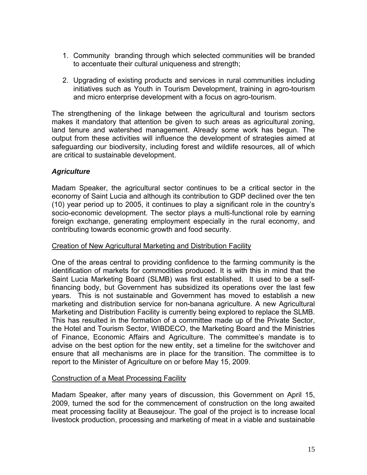- 1. Community branding through which selected communities will be branded to accentuate their cultural uniqueness and strength;
- 2. Upgrading of existing products and services in rural communities including initiatives such as Youth in Tourism Development, training in agro-tourism and micro enterprise development with a focus on agro-tourism.

The strengthening of the linkage between the agricultural and tourism sectors makes it mandatory that attention be given to such areas as agricultural zoning, land tenure and watershed management. Already some work has begun. The output from these activities will influence the development of strategies aimed at safeguarding our biodiversity, including forest and wildlife resources, all of which are critical to sustainable development.

# *Agriculture*

Madam Speaker, the agricultural sector continues to be a critical sector in the economy of Saint Lucia and although its contribution to GDP declined over the ten (10) year period up to 2005, it continues to play a significant role in the country's socio-economic development. The sector plays a multi-functional role by earning foreign exchange, generating employment especially in the rural economy, and contributing towards economic growth and food security.

# Creation of New Agricultural Marketing and Distribution Facility

One of the areas central to providing confidence to the farming community is the identification of markets for commodities produced. It is with this in mind that the Saint Lucia Marketing Board (SLMB) was first established. It used to be a selffinancing body, but Government has subsidized its operations over the last few years. This is not sustainable and Government has moved to establish a new marketing and distribution service for non-banana agriculture. A new Agricultural Marketing and Distribution Facility is currently being explored to replace the SLMB. This has resulted in the formation of a committee made up of the Private Sector, the Hotel and Tourism Sector, WIBDECO, the Marketing Board and the Ministries of Finance, Economic Affairs and Agriculture. The committee's mandate is to advise on the best option for the new entity, set a timeline for the switchover and ensure that all mechanisms are in place for the transition. The committee is to report to the Minister of Agriculture on or before May 15, 2009.

# Construction of a Meat Processing Facility

Madam Speaker, after many years of discussion, this Government on April 15, 2009, turned the sod for the commencement of construction on the long awaited meat processing facility at Beausejour. The goal of the project is to increase local livestock production, processing and marketing of meat in a viable and sustainable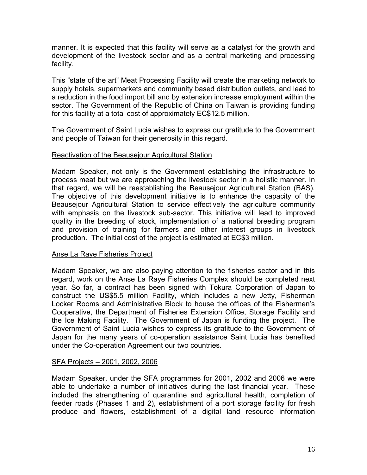manner. It is expected that this facility will serve as a catalyst for the growth and development of the livestock sector and as a central marketing and processing facility.

This "state of the art" Meat Processing Facility will create the marketing network to supply hotels, supermarkets and community based distribution outlets, and lead to a reduction in the food import bill and by extension increase employment within the sector. The Government of the Republic of China on Taiwan is providing funding for this facility at a total cost of approximately EC\$12.5 million.

The Government of Saint Lucia wishes to express our gratitude to the Government and people of Taiwan for their generosity in this regard.

#### Reactivation of the Beausejour Agricultural Station

Madam Speaker, not only is the Government establishing the infrastructure to process meat but we are approaching the livestock sector in a holistic manner. In that regard, we will be reestablishing the Beausejour Agricultural Station (BAS). The objective of this development initiative is to enhance the capacity of the Beausejour Agricultural Station to service effectively the agriculture community with emphasis on the livestock sub-sector. This initiative will lead to improved quality in the breeding of stock, implementation of a national breeding program and provision of training for farmers and other interest groups in livestock production. The initial cost of the project is estimated at EC\$3 million.

#### Anse La Raye Fisheries Project

Madam Speaker, we are also paying attention to the fisheries sector and in this regard, work on the Anse La Raye Fisheries Complex should be completed next year. So far, a contract has been signed with Tokura Corporation of Japan to construct the US\$5.5 million Facility, which includes a new Jetty, Fisherman Locker Rooms and Administrative Block to house the offices of the Fishermen's Cooperative, the Department of Fisheries Extension Office, Storage Facility and the Ice Making Facility. The Government of Japan is funding the project. The Government of Saint Lucia wishes to express its gratitude to the Government of Japan for the many years of co-operation assistance Saint Lucia has benefited under the Co-operation Agreement our two countries.

#### SFA Projects – 2001, 2002, 2006

Madam Speaker, under the SFA programmes for 2001, 2002 and 2006 we were able to undertake a number of initiatives during the last financial year. These included the strengthening of quarantine and agricultural health, completion of feeder roads (Phases 1 and 2), establishment of a port storage facility for fresh produce and flowers, establishment of a digital land resource information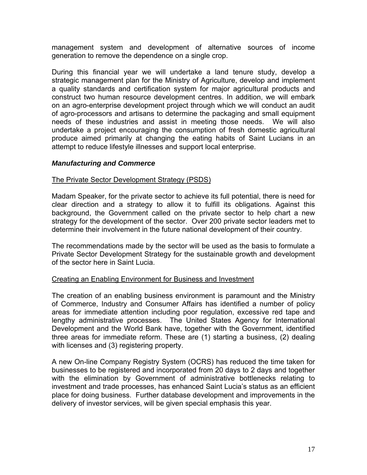management system and development of alternative sources of income generation to remove the dependence on a single crop.

During this financial year we will undertake a land tenure study, develop a strategic management plan for the Ministry of Agriculture, develop and implement a quality standards and certification system for major agricultural products and construct two human resource development centres. In addition, we will embark on an agro-enterprise development project through which we will conduct an audit of agro-processors and artisans to determine the packaging and small equipment needs of these industries and assist in meeting those needs. We will also undertake a project encouraging the consumption of fresh domestic agricultural produce aimed primarily at changing the eating habits of Saint Lucians in an attempt to reduce lifestyle illnesses and support local enterprise.

#### *Manufacturing and Commerce*

#### The Private Sector Development Strategy (PSDS)

Madam Speaker, for the private sector to achieve its full potential, there is need for clear direction and a strategy to allow it to fulfill its obligations. Against this background, the Government called on the private sector to help chart a new strategy for the development of the sector. Over 200 private sector leaders met to determine their involvement in the future national development of their country.

The recommendations made by the sector will be used as the basis to formulate a Private Sector Development Strategy for the sustainable growth and development of the sector here in Saint Lucia.

#### Creating an Enabling Environment for Business and Investment

The creation of an enabling business environment is paramount and the Ministry of Commerce, Industry and Consumer Affairs has identified a number of policy areas for immediate attention including poor regulation, excessive red tape and lengthy administrative processes. The United States Agency for International Development and the World Bank have, together with the Government, identified three areas for immediate reform. These are (1) starting a business, (2) dealing with licenses and (3) registering property.

A new On-line Company Registry System (OCRS) has reduced the time taken for businesses to be registered and incorporated from 20 days to 2 days and together with the elimination by Government of administrative bottlenecks relating to investment and trade processes, has enhanced Saint Lucia's status as an efficient place for doing business. Further database development and improvements in the delivery of investor services, will be given special emphasis this year.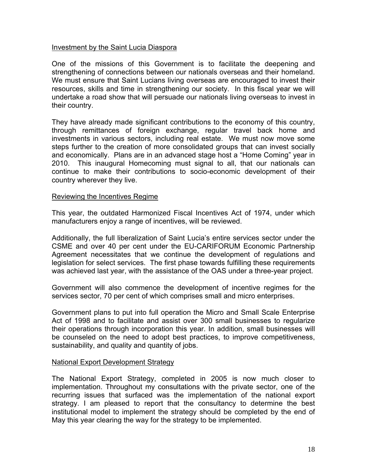#### Investment by the Saint Lucia Diaspora

One of the missions of this Government is to facilitate the deepening and strengthening of connections between our nationals overseas and their homeland. We must ensure that Saint Lucians living overseas are encouraged to invest their resources, skills and time in strengthening our society. In this fiscal year we will undertake a road show that will persuade our nationals living overseas to invest in their country.

They have already made significant contributions to the economy of this country, through remittances of foreign exchange, regular travel back home and investments in various sectors, including real estate. We must now move some steps further to the creation of more consolidated groups that can invest socially and economically. Plans are in an advanced stage host a "Home Coming" year in 2010. This inaugural Homecoming must signal to all, that our nationals can continue to make their contributions to socio-economic development of their country wherever they live.

#### Reviewing the Incentives Regime

This year, the outdated Harmonized Fiscal Incentives Act of 1974, under which manufacturers enjoy a range of incentives, will be reviewed.

Additionally, the full liberalization of Saint Lucia's entire services sector under the CSME and over 40 per cent under the EU-CARIFORUM Economic Partnership Agreement necessitates that we continue the development of regulations and legislation for select services. The first phase towards fulfilling these requirements was achieved last year, with the assistance of the OAS under a three-year project.

Government will also commence the development of incentive regimes for the services sector, 70 per cent of which comprises small and micro enterprises.

Government plans to put into full operation the Micro and Small Scale Enterprise Act of 1998 and to facilitate and assist over 300 small businesses to regularize their operations through incorporation this year. In addition, small businesses will be counseled on the need to adopt best practices, to improve competitiveness, sustainability, and quality and quantity of jobs.

#### National Export Development Strategy

The National Export Strategy, completed in 2005 is now much closer to implementation. Throughout my consultations with the private sector, one of the recurring issues that surfaced was the implementation of the national export strategy. I am pleased to report that the consultancy to determine the best institutional model to implement the strategy should be completed by the end of May this year clearing the way for the strategy to be implemented.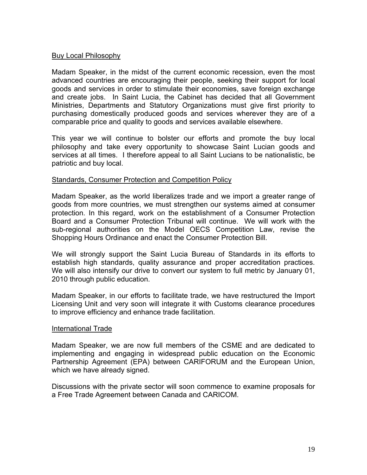#### Buy Local Philosophy

Madam Speaker, in the midst of the current economic recession, even the most advanced countries are encouraging their people, seeking their support for local goods and services in order to stimulate their economies, save foreign exchange and create jobs. In Saint Lucia, the Cabinet has decided that all Government Ministries, Departments and Statutory Organizations must give first priority to purchasing domestically produced goods and services wherever they are of a comparable price and quality to goods and services available elsewhere.

This year we will continue to bolster our efforts and promote the buy local philosophy and take every opportunity to showcase Saint Lucian goods and services at all times. I therefore appeal to all Saint Lucians to be nationalistic, be patriotic and buy local.

#### Standards, Consumer Protection and Competition Policy

Madam Speaker, as the world liberalizes trade and we import a greater range of goods from more countries, we must strengthen our systems aimed at consumer protection. In this regard, work on the establishment of a Consumer Protection Board and a Consumer Protection Tribunal will continue. We will work with the sub-regional authorities on the Model OECS Competition Law, revise the Shopping Hours Ordinance and enact the Consumer Protection Bill.

We will strongly support the Saint Lucia Bureau of Standards in its efforts to establish high standards, quality assurance and proper accreditation practices. We will also intensify our drive to convert our system to full metric by January 01, 2010 through public education.

Madam Speaker, in our efforts to facilitate trade, we have restructured the Import Licensing Unit and very soon will integrate it with Customs clearance procedures to improve efficiency and enhance trade facilitation.

#### International Trade

Madam Speaker, we are now full members of the CSME and are dedicated to implementing and engaging in widespread public education on the Economic Partnership Agreement (EPA) between CARIFORUM and the European Union, which we have already signed.

Discussions with the private sector will soon commence to examine proposals for a Free Trade Agreement between Canada and CARICOM.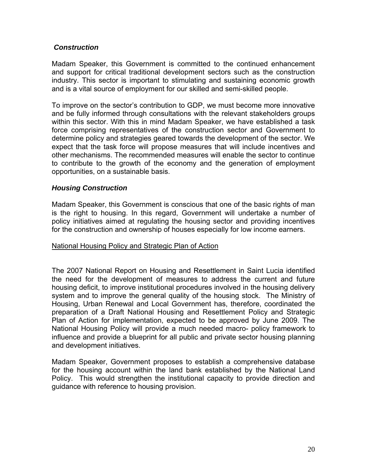# *Construction*

Madam Speaker, this Government is committed to the continued enhancement and support for critical traditional development sectors such as the construction industry. This sector is important to stimulating and sustaining economic growth and is a vital source of employment for our skilled and semi-skilled people.

To improve on the sector's contribution to GDP, we must become more innovative and be fully informed through consultations with the relevant stakeholders groups within this sector. With this in mind Madam Speaker, we have established a task force comprising representatives of the construction sector and Government to determine policy and strategies geared towards the development of the sector. We expect that the task force will propose measures that will include incentives and other mechanisms. The recommended measures will enable the sector to continue to contribute to the growth of the economy and the generation of employment opportunities, on a sustainable basis.

# *Housing Construction*

Madam Speaker, this Government is conscious that one of the basic rights of man is the right to housing. In this regard, Government will undertake a number of policy initiatives aimed at regulating the housing sector and providing incentives for the construction and ownership of houses especially for low income earners.

#### National Housing Policy and Strategic Plan of Action

The 2007 National Report on Housing and Resettlement in Saint Lucia identified the need for the development of measures to address the current and future housing deficit, to improve institutional procedures involved in the housing delivery system and to improve the general quality of the housing stock. The Ministry of Housing, Urban Renewal and Local Government has, therefore, coordinated the preparation of a Draft National Housing and Resettlement Policy and Strategic Plan of Action for implementation, expected to be approved by June 2009. The National Housing Policy will provide a much needed macro- policy framework to influence and provide a blueprint for all public and private sector housing planning and development initiatives.

Madam Speaker, Government proposes to establish a comprehensive database for the housing account within the land bank established by the National Land Policy. This would strengthen the institutional capacity to provide direction and guidance with reference to housing provision.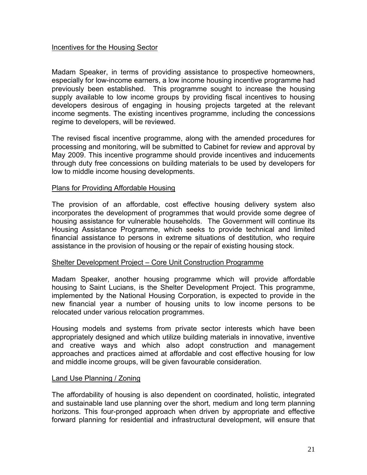# Incentives for the Housing Sector

Madam Speaker, in terms of providing assistance to prospective homeowners, especially for low-income earners, a low income housing incentive programme had previously been established. This programme sought to increase the housing supply available to low income groups by providing fiscal incentives to housing developers desirous of engaging in housing projects targeted at the relevant income segments. The existing incentives programme, including the concessions regime to developers, will be reviewed.

The revised fiscal incentive programme, along with the amended procedures for processing and monitoring, will be submitted to Cabinet for review and approval by May 2009. This incentive programme should provide incentives and inducements through duty free concessions on building materials to be used by developers for low to middle income housing developments.

#### Plans for Providing Affordable Housing

The provision of an affordable, cost effective housing delivery system also incorporates the development of programmes that would provide some degree of housing assistance for vulnerable households. The Government will continue its Housing Assistance Programme, which seeks to provide technical and limited financial assistance to persons in extreme situations of destitution, who require assistance in the provision of housing or the repair of existing housing stock.

#### Shelter Development Project – Core Unit Construction Programme

Madam Speaker, another housing programme which will provide affordable housing to Saint Lucians, is the Shelter Development Project. This programme, implemented by the National Housing Corporation, is expected to provide in the new financial year a number of housing units to low income persons to be relocated under various relocation programmes.

Housing models and systems from private sector interests which have been appropriately designed and which utilize building materials in innovative, inventive and creative ways and which also adopt construction and management approaches and practices aimed at affordable and cost effective housing for low and middle income groups, will be given favourable consideration.

#### Land Use Planning / Zoning

The affordability of housing is also dependent on coordinated, holistic, integrated and sustainable land use planning over the short, medium and long term planning horizons. This four-pronged approach when driven by appropriate and effective forward planning for residential and infrastructural development, will ensure that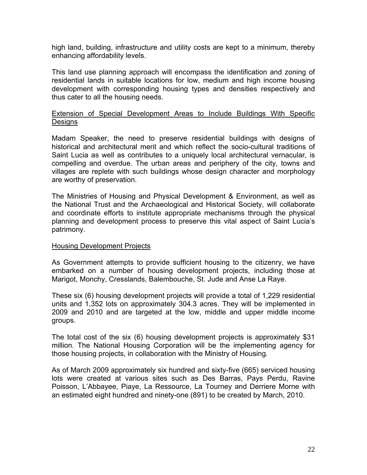high land, building, infrastructure and utility costs are kept to a minimum, thereby enhancing affordability levels.

This land use planning approach will encompass the identification and zoning of residential lands in suitable locations for low, medium and high income housing development with corresponding housing types and densities respectively and thus cater to all the housing needs.

#### Extension of Special Development Areas to Include Buildings With Specific **Designs**

Madam Speaker, the need to preserve residential buildings with designs of historical and architectural merit and which reflect the socio-cultural traditions of Saint Lucia as well as contributes to a uniquely local architectural vernacular, is compelling and overdue. The urban areas and periphery of the city, towns and villages are replete with such buildings whose design character and morphology are worthy of preservation.

The Ministries of Housing and Physical Development & Environment, as well as the National Trust and the Archaeological and Historical Society, will collaborate and coordinate efforts to institute appropriate mechanisms through the physical planning and development process to preserve this vital aspect of Saint Lucia's patrimony.

#### Housing Development Projects

As Government attempts to provide sufficient housing to the citizenry, we have embarked on a number of housing development projects, including those at Marigot, Monchy, Cresslands, Balembouche, St. Jude and Anse La Raye.

These six (6) housing development projects will provide a total of 1,229 residential units and 1,352 lots on approximately 304.3 acres. They will be implemented in 2009 and 2010 and are targeted at the low, middle and upper middle income groups.

The total cost of the six (6) housing development projects is approximately \$31 million. The National Housing Corporation will be the implementing agency for those housing projects, in collaboration with the Ministry of Housing.

As of March 2009 approximately six hundred and sixty-five (665) serviced housing lots were created at various sites such as Des Barras, Pays Perdu, Ravine Poisson, L'Abbayee, Piaye, La Ressource, La Tourney and Derriere Morne with an estimated eight hundred and ninety-one (891) to be created by March, 2010.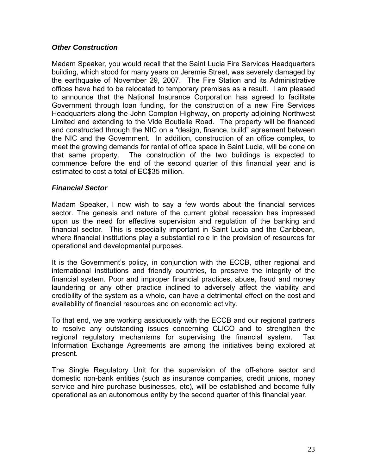# *Other Construction*

Madam Speaker, you would recall that the Saint Lucia Fire Services Headquarters building, which stood for many years on Jeremie Street, was severely damaged by the earthquake of November 29, 2007. The Fire Station and its Administrative offices have had to be relocated to temporary premises as a result. I am pleased to announce that the National Insurance Corporation has agreed to facilitate Government through loan funding, for the construction of a new Fire Services Headquarters along the John Compton Highway, on property adjoining Northwest Limited and extending to the Vide Boutielle Road. The property will be financed and constructed through the NIC on a "design, finance, build" agreement between the NIC and the Government. In addition, construction of an office complex, to meet the growing demands for rental of office space in Saint Lucia, will be done on that same property. The construction of the two buildings is expected to commence before the end of the second quarter of this financial year and is estimated to cost a total of EC\$35 million.

#### *Financial Sector*

Madam Speaker, I now wish to say a few words about the financial services sector. The genesis and nature of the current global recession has impressed upon us the need for effective supervision and regulation of the banking and financial sector. This is especially important in Saint Lucia and the Caribbean, where financial institutions play a substantial role in the provision of resources for operational and developmental purposes.

It is the Government's policy, in conjunction with the ECCB, other regional and international institutions and friendly countries, to preserve the integrity of the financial system. Poor and improper financial practices, abuse, fraud and money laundering or any other practice inclined to adversely affect the viability and credibility of the system as a whole, can have a detrimental effect on the cost and availability of financial resources and on economic activity.

To that end, we are working assiduously with the ECCB and our regional partners to resolve any outstanding issues concerning CLICO and to strengthen the regional regulatory mechanisms for supervising the financial system. Tax Information Exchange Agreements are among the initiatives being explored at present.

The Single Regulatory Unit for the supervision of the off-shore sector and domestic non-bank entities (such as insurance companies, credit unions, money service and hire purchase businesses, etc), will be established and become fully operational as an autonomous entity by the second quarter of this financial year.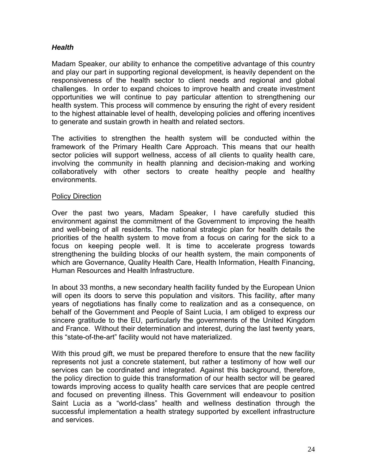# *Health*

Madam Speaker, our ability to enhance the competitive advantage of this country and play our part in supporting regional development, is heavily dependent on the responsiveness of the health sector to client needs and regional and global challenges. In order to expand choices to improve health and create investment opportunities we will continue to pay particular attention to strengthening our health system. This process will commence by ensuring the right of every resident to the highest attainable level of health, developing policies and offering incentives to generate and sustain growth in health and related sectors.

The activities to strengthen the health system will be conducted within the framework of the Primary Health Care Approach. This means that our health sector policies will support wellness, access of all clients to quality health care, involving the community in health planning and decision-making and working collaboratively with other sectors to create healthy people and healthy environments.

#### Policy Direction

Over the past two years, Madam Speaker, I have carefully studied this environment against the commitment of the Government to improving the health and well-being of all residents. The national strategic plan for health details the priorities of the health system to move from a focus on caring for the sick to a focus on keeping people well. It is time to accelerate progress towards strengthening the building blocks of our health system, the main components of which are Governance, Quality Health Care, Health Information, Health Financing, Human Resources and Health Infrastructure.

In about 33 months, a new secondary health facility funded by the European Union will open its doors to serve this population and visitors. This facility, after many years of negotiations has finally come to realization and as a consequence, on behalf of the Government and People of Saint Lucia, I am obliged to express our sincere gratitude to the EU, particularly the governments of the United Kingdom and France. Without their determination and interest, during the last twenty years, this "state-of-the-art" facility would not have materialized.

With this proud gift, we must be prepared therefore to ensure that the new facility represents not just a concrete statement, but rather a testimony of how well our services can be coordinated and integrated. Against this background, therefore, the policy direction to guide this transformation of our health sector will be geared towards improving access to quality health care services that are people centred and focused on preventing illness. This Government will endeavour to position Saint Lucia as a "world-class" health and wellness destination through the successful implementation a health strategy supported by excellent infrastructure and services.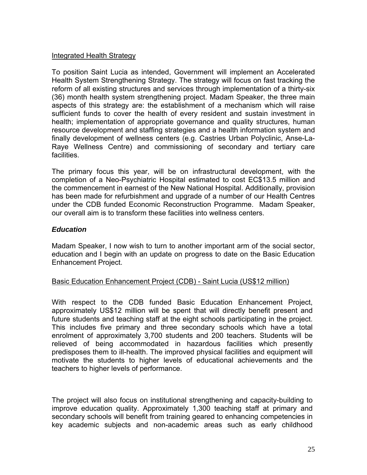#### Integrated Health Strategy

To position Saint Lucia as intended, Government will implement an Accelerated Health System Strengthening Strategy. The strategy will focus on fast tracking the reform of all existing structures and services through implementation of a thirty-six (36) month health system strengthening project. Madam Speaker, the three main aspects of this strategy are: the establishment of a mechanism which will raise sufficient funds to cover the health of every resident and sustain investment in health; implementation of appropriate governance and quality structures, human resource development and staffing strategies and a health information system and finally development of wellness centers (e.g. Castries Urban Polyclinic, Anse-La-Raye Wellness Centre) and commissioning of secondary and tertiary care facilities.

The primary focus this year, will be on infrastructural development, with the completion of a Neo-Psychiatric Hospital estimated to cost EC\$13.5 million and the commencement in earnest of the New National Hospital. Additionally, provision has been made for refurbishment and upgrade of a number of our Health Centres under the CDB funded Economic Reconstruction Programme. Madam Speaker, our overall aim is to transform these facilities into wellness centers.

# *Education*

Madam Speaker, I now wish to turn to another important arm of the social sector, education and I begin with an update on progress to date on the Basic Education Enhancement Project.

#### Basic Education Enhancement Project (CDB) - Saint Lucia (US\$12 million)

With respect to the CDB funded Basic Education Enhancement Project, approximately US\$12 million will be spent that will directly benefit present and future students and teaching staff at the eight schools participating in the project. This includes five primary and three secondary schools which have a total enrolment of approximately 3,700 students and 200 teachers. Students will be relieved of being accommodated in hazardous facilities which presently predisposes them to ill-health. The improved physical facilities and equipment will motivate the students to higher levels of educational achievements and the teachers to higher levels of performance.

The project will also focus on institutional strengthening and capacity-building to improve education quality. Approximately 1,300 teaching staff at primary and secondary schools will benefit from training geared to enhancing competencies in key academic subjects and non-academic areas such as early childhood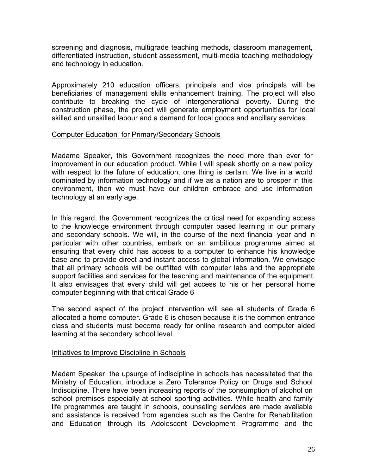screening and diagnosis, multigrade teaching methods, classroom management, differentiated instruction, student assessment, multi-media teaching methodology and technology in education.

Approximately 210 education officers, principals and vice principals will be beneficiaries of management skills enhancement training. The project will also contribute to breaking the cycle of intergenerational poverty. During the construction phase, the project will generate employment opportunities for local skilled and unskilled labour and a demand for local goods and ancillary services.

#### Computer Education for Primary/Secondary Schools

Madame Speaker, this Government recognizes the need more than ever for improvement in our education product. While I will speak shortly on a new policy with respect to the future of education, one thing is certain. We live in a world dominated by information technology and if we as a nation are to prosper in this environment, then we must have our children embrace and use information technology at an early age.

In this regard, the Government recognizes the critical need for expanding access to the knowledge environment through computer based learning in our primary and secondary schools. We will, in the course of the next financial year and in particular with other countries, embark on an ambitious programme aimed at ensuring that every child has access to a computer to enhance his knowledge base and to provide direct and instant access to global information. We envisage that all primary schools will be outfitted with computer labs and the appropriate support facilities and services for the teaching and maintenance of the equipment. It also envisages that every child will get access to his or her personal home computer beginning with that critical Grade 6

The second aspect of the project intervention will see all students of Grade 6 allocated a home computer. Grade 6 is chosen because it is the common entrance class and students must become ready for online research and computer aided learning at the secondary school level.

#### Initiatives to Improve Discipline in Schools

Madam Speaker, the upsurge of indiscipline in schools has necessitated that the Ministry of Education, introduce a Zero Tolerance Policy on Drugs and School Indiscipline. There have been increasing reports of the consumption of alcohol on school premises especially at school sporting activities. While health and family life programmes are taught in schools, counseling services are made available and assistance is received from agencies such as the Centre for Rehabilitation and Education through its Adolescent Development Programme and the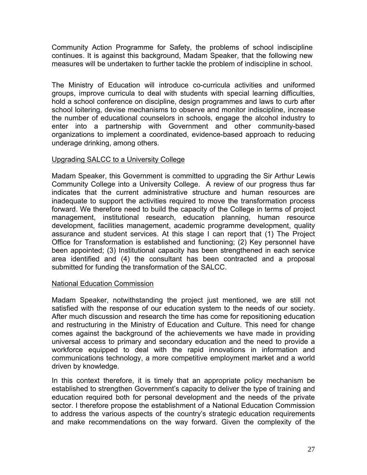Community Action Programme for Safety, the problems of school indiscipline continues. It is against this background, Madam Speaker, that the following new measures will be undertaken to further tackle the problem of indiscipline in school.

The Ministry of Education will introduce co-curricula activities and uniformed groups, improve curricula to deal with students with special learning difficulties, hold a school conference on discipline, design programmes and laws to curb after school loitering, devise mechanisms to observe and monitor indiscipline, increase the number of educational counselors in schools, engage the alcohol industry to enter into a partnership with Government and other community-based organizations to implement a coordinated, evidence-based approach to reducing underage drinking, among others.

# Upgrading SALCC to a University College

Madam Speaker, this Government is committed to upgrading the Sir Arthur Lewis Community College into a University College. A review of our progress thus far indicates that the current administrative structure and human resources are inadequate to support the activities required to move the transformation process forward. We therefore need to build the capacity of the College in terms of project management, institutional research, education planning, human resource development, facilities management, academic programme development, quality assurance and student services. At this stage I can report that (1) The Project Office for Transformation is established and functioning; (2) Key personnel have been appointed; (3) Institutional capacity has been strengthened in each service area identified and (4) the consultant has been contracted and a proposal submitted for funding the transformation of the SALCC.

#### National Education Commission

Madam Speaker, notwithstanding the project just mentioned, we are still not satisfied with the response of our education system to the needs of our society. After much discussion and research the time has come for repositioning education and restructuring in the Ministry of Education and Culture. This need for change comes against the background of the achievements we have made in providing universal access to primary and secondary education and the need to provide a workforce equipped to deal with the rapid innovations in information and communications technology, a more competitive employment market and a world driven by knowledge.

In this context therefore, it is timely that an appropriate policy mechanism be established to strengthen Government's capacity to deliver the type of training and education required both for personal development and the needs of the private sector. I therefore propose the establishment of a National Education Commission to address the various aspects of the country's strategic education requirements and make recommendations on the way forward. Given the complexity of the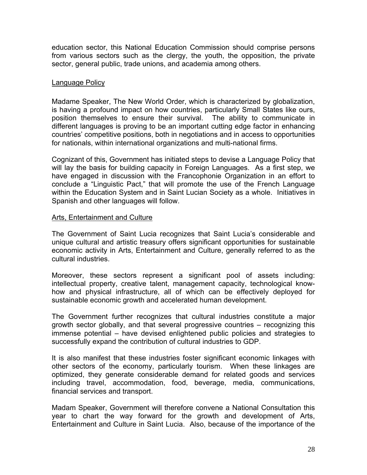education sector, this National Education Commission should comprise persons from various sectors such as the clergy, the youth, the opposition, the private sector, general public, trade unions, and academia among others.

#### Language Policy

Madame Speaker, The New World Order, which is characterized by globalization, is having a profound impact on how countries, particularly Small States like ours, position themselves to ensure their survival. The ability to communicate in different languages is proving to be an important cutting edge factor in enhancing countries' competitive positions, both in negotiations and in access to opportunities for nationals, within international organizations and multi-national firms.

Cognizant of this, Government has initiated steps to devise a Language Policy that will lay the basis for building capacity in Foreign Languages. As a first step, we have engaged in discussion with the Francophonie Organization in an effort to conclude a "Linguistic Pact," that will promote the use of the French Language within the Education System and in Saint Lucian Society as a whole. Initiatives in Spanish and other languages will follow.

#### Arts, Entertainment and Culture

The Government of Saint Lucia recognizes that Saint Lucia's considerable and unique cultural and artistic treasury offers significant opportunities for sustainable economic activity in Arts, Entertainment and Culture, generally referred to as the cultural industries.

Moreover, these sectors represent a significant pool of assets including: intellectual property, creative talent, management capacity, technological knowhow and physical infrastructure, all of which can be effectively deployed for sustainable economic growth and accelerated human development.

The Government further recognizes that cultural industries constitute a major growth sector globally, and that several progressive countries – recognizing this immense potential – have devised enlightened public policies and strategies to successfully expand the contribution of cultural industries to GDP.

It is also manifest that these industries foster significant economic linkages with other sectors of the economy, particularly tourism. When these linkages are optimized, they generate considerable demand for related goods and services including travel, accommodation, food, beverage, media, communications, financial services and transport.

Madam Speaker, Government will therefore convene a National Consultation this year to chart the way forward for the growth and development of Arts, Entertainment and Culture in Saint Lucia. Also, because of the importance of the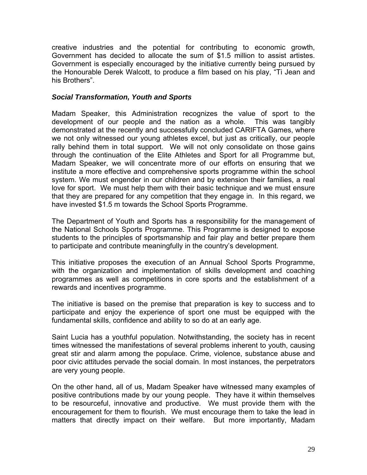creative industries and the potential for contributing to economic growth, Government has decided to allocate the sum of \$1.5 million to assist artistes. Government is especially encouraged by the initiative currently being pursued by the Honourable Derek Walcott, to produce a film based on his play, "Ti Jean and his Brothers".

### *Social Transformation, Youth and Sports*

Madam Speaker, this Administration recognizes the value of sport to the development of our people and the nation as a whole. This was tangibly demonstrated at the recently and successfully concluded CARIFTA Games, where we not only witnessed our young athletes excel, but just as critically, our people rally behind them in total support. We will not only consolidate on those gains through the continuation of the Elite Athletes and Sport for all Programme but, Madam Speaker, we will concentrate more of our efforts on ensuring that we institute a more effective and comprehensive sports programme within the school system. We must engender in our children and by extension their families, a real love for sport. We must help them with their basic technique and we must ensure that they are prepared for any competition that they engage in. In this regard, we have invested \$1.5 m towards the School Sports Programme.

The Department of Youth and Sports has a responsibility for the management of the National Schools Sports Programme. This Programme is designed to expose students to the principles of sportsmanship and fair play and better prepare them to participate and contribute meaningfully in the country's development.

This initiative proposes the execution of an Annual School Sports Programme, with the organization and implementation of skills development and coaching programmes as well as competitions in core sports and the establishment of a rewards and incentives programme.

The initiative is based on the premise that preparation is key to success and to participate and enjoy the experience of sport one must be equipped with the fundamental skills, confidence and ability to so do at an early age.

Saint Lucia has a youthful population. Notwithstanding, the society has in recent times witnessed the manifestations of several problems inherent to youth, causing great stir and alarm among the populace. Crime, violence, substance abuse and poor civic attitudes pervade the social domain. In most instances, the perpetrators are very young people.

On the other hand, all of us, Madam Speaker have witnessed many examples of positive contributions made by our young people. They have it within themselves to be resourceful, innovative and productive. We must provide them with the encouragement for them to flourish. We must encourage them to take the lead in matters that directly impact on their welfare. But more importantly, Madam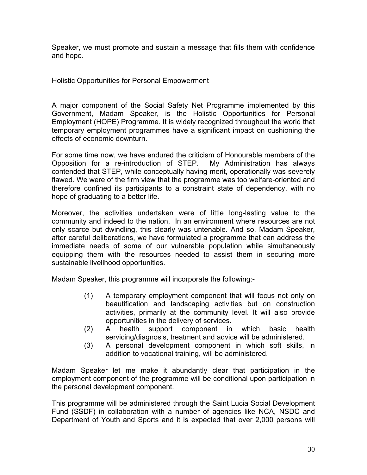Speaker, we must promote and sustain a message that fills them with confidence and hope.

# Holistic Opportunities for Personal Empowerment

A major component of the Social Safety Net Programme implemented by this Government, Madam Speaker, is the Holistic Opportunities for Personal Employment (HOPE) Programme. It is widely recognized throughout the world that temporary employment programmes have a significant impact on cushioning the effects of economic downturn.

For some time now, we have endured the criticism of Honourable members of the Opposition for a re-introduction of STEP. My Administration has always contended that STEP, while conceptually having merit, operationally was severely flawed. We were of the firm view that the programme was too welfare-oriented and therefore confined its participants to a constraint state of dependency, with no hope of graduating to a better life.

Moreover, the activities undertaken were of little long-lasting value to the community and indeed to the nation. In an environment where resources are not only scarce but dwindling, this clearly was untenable. And so, Madam Speaker, after careful deliberations, we have formulated a programme that can address the immediate needs of some of our vulnerable population while simultaneously equipping them with the resources needed to assist them in securing more sustainable livelihood opportunities.

Madam Speaker, this programme will incorporate the following:-

- (1) A temporary employment component that will focus not only on beautification and landscaping activities but on construction activities, primarily at the community level. It will also provide opportunities in the delivery of services.
- (2) A health support component in which basic health servicing/diagnosis, treatment and advice will be administered.
- (3) A personal development component in which soft skills, in addition to vocational training, will be administered.

Madam Speaker let me make it abundantly clear that participation in the employment component of the programme will be conditional upon participation in the personal development component.

This programme will be administered through the Saint Lucia Social Development Fund (SSDF) in collaboration with a number of agencies like NCA, NSDC and Department of Youth and Sports and it is expected that over 2,000 persons will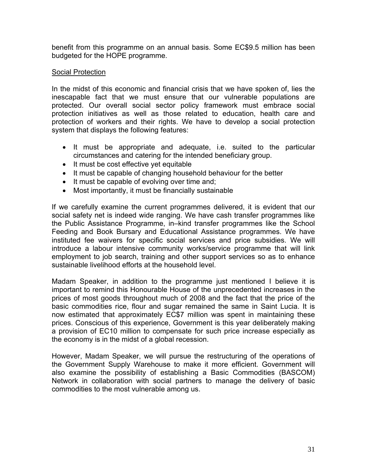benefit from this programme on an annual basis. Some EC\$9.5 million has been budgeted for the HOPE programme.

#### **Social Protection**

In the midst of this economic and financial crisis that we have spoken of, lies the inescapable fact that we must ensure that our vulnerable populations are protected. Our overall social sector policy framework must embrace social protection initiatives as well as those related to education, health care and protection of workers and their rights. We have to develop a social protection system that displays the following features:

- It must be appropriate and adequate, i.e. suited to the particular circumstances and catering for the intended beneficiary group.
- It must be cost effective yet equitable
- It must be capable of changing household behaviour for the better
- It must be capable of evolving over time and;
- Most importantly, it must be financially sustainable

If we carefully examine the current programmes delivered, it is evident that our social safety net is indeed wide ranging. We have cash transfer programmes like the Public Assistance Programme, in–kind transfer programmes like the School Feeding and Book Bursary and Educational Assistance programmes. We have instituted fee waivers for specific social services and price subsidies. We will introduce a labour intensive community works/service programme that will link employment to job search, training and other support services so as to enhance sustainable livelihood efforts at the household level.

Madam Speaker, in addition to the programme just mentioned I believe it is important to remind this Honourable House of the unprecedented increases in the prices of most goods throughout much of 2008 and the fact that the price of the basic commodities rice, flour and sugar remained the same in Saint Lucia. It is now estimated that approximately EC\$7 million was spent in maintaining these prices. Conscious of this experience, Government is this year deliberately making a provision of EC10 million to compensate for such price increase especially as the economy is in the midst of a global recession.

However, Madam Speaker, we will pursue the restructuring of the operations of the Government Supply Warehouse to make it more efficient. Government will also examine the possibility of establishing a Basic Commodities (BASCOM) Network in collaboration with social partners to manage the delivery of basic commodities to the most vulnerable among us.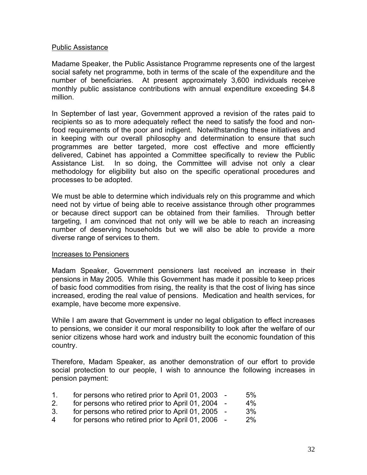#### Public Assistance

Madame Speaker, the Public Assistance Programme represents one of the largest social safety net programme, both in terms of the scale of the expenditure and the number of beneficiaries. At present approximately 3,600 individuals receive monthly public assistance contributions with annual expenditure exceeding \$4.8 million.

In September of last year, Government approved a revision of the rates paid to recipients so as to more adequately reflect the need to satisfy the food and nonfood requirements of the poor and indigent. Notwithstanding these initiatives and in keeping with our overall philosophy and determination to ensure that such programmes are better targeted, more cost effective and more efficiently delivered, Cabinet has appointed a Committee specifically to review the Public Assistance List. In so doing, the Committee will advise not only a clear methodology for eligibility but also on the specific operational procedures and processes to be adopted.

We must be able to determine which individuals rely on this programme and which need not by virtue of being able to receive assistance through other programmes or because direct support can be obtained from their families. Through better targeting, I am convinced that not only will we be able to reach an increasing number of deserving households but we will also be able to provide a more diverse range of services to them.

#### Increases to Pensioners

Madam Speaker, Government pensioners last received an increase in their pensions in May 2005. While this Government has made it possible to keep prices of basic food commodities from rising, the reality is that the cost of living has since increased, eroding the real value of pensions. Medication and health services, for example, have become more expensive.

While I am aware that Government is under no legal obligation to effect increases to pensions, we consider it our moral responsibility to look after the welfare of our senior citizens whose hard work and industry built the economic foundation of this country.

Therefore, Madam Speaker, as another demonstration of our effort to provide social protection to our people, I wish to announce the following increases in pension payment:

| 1. | for persons who retired prior to April 01, 2003 - | 5%    |
|----|---------------------------------------------------|-------|
| 2. | for persons who retired prior to April 01, 2004 - | 4%    |
| 3. | for persons who retired prior to April 01, 2005 - | 3%    |
| 4  | for persons who retired prior to April 01, 2006 - | $2\%$ |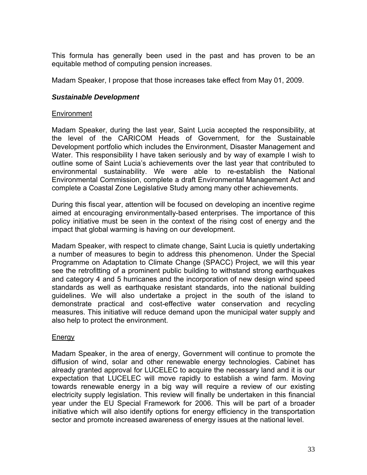This formula has generally been used in the past and has proven to be an equitable method of computing pension increases.

Madam Speaker, I propose that those increases take effect from May 01, 2009.

# *Sustainable Development*

### Environment

Madam Speaker, during the last year, Saint Lucia accepted the responsibility, at the level of the CARICOM Heads of Government, for the Sustainable Development portfolio which includes the Environment, Disaster Management and Water. This responsibility I have taken seriously and by way of example I wish to outline some of Saint Lucia's achievements over the last year that contributed to environmental sustainability. We were able to re-establish the National Environmental Commission, complete a draft Environmental Management Act and complete a Coastal Zone Legislative Study among many other achievements.

During this fiscal year, attention will be focused on developing an incentive regime aimed at encouraging environmentally-based enterprises. The importance of this policy initiative must be seen in the context of the rising cost of energy and the impact that global warming is having on our development.

Madam Speaker, with respect to climate change, Saint Lucia is quietly undertaking a number of measures to begin to address this phenomenon. Under the Special Programme on Adaptation to Climate Change (SPACC) Project, we will this year see the retrofitting of a prominent public building to withstand strong earthquakes and category 4 and 5 hurricanes and the incorporation of new design wind speed standards as well as earthquake resistant standards, into the national building guidelines. We will also undertake a project in the south of the island to demonstrate practical and cost-effective water conservation and recycling measures. This initiative will reduce demand upon the municipal water supply and also help to protect the environment.

#### Energy

Madam Speaker, in the area of energy, Government will continue to promote the diffusion of wind, solar and other renewable energy technologies. Cabinet has already granted approval for LUCELEC to acquire the necessary land and it is our expectation that LUCELEC will move rapidly to establish a wind farm. Moving towards renewable energy in a big way will require a review of our existing electricity supply legislation. This review will finally be undertaken in this financial year under the EU Special Framework for 2006. This will be part of a broader initiative which will also identify options for energy efficiency in the transportation sector and promote increased awareness of energy issues at the national level.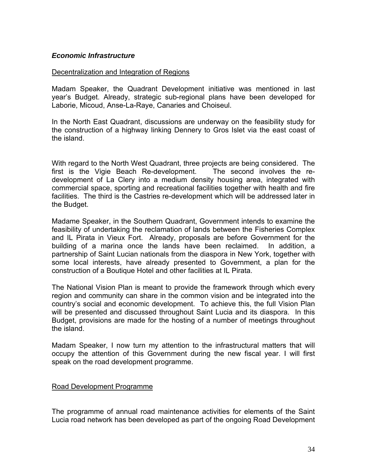#### *Economic Infrastructure*

#### Decentralization and Integration of Regions

Madam Speaker, the Quadrant Development initiative was mentioned in last year's Budget. Already, strategic sub-regional plans have been developed for Laborie, Micoud, Anse-La-Raye, Canaries and Choiseul.

In the North East Quadrant, discussions are underway on the feasibility study for the construction of a highway linking Dennery to Gros Islet via the east coast of the island.

With regard to the North West Quadrant, three projects are being considered. The first is the Vigie Beach Re-development. The second involves the redevelopment of La Clery into a medium density housing area, integrated with commercial space, sporting and recreational facilities together with health and fire facilities. The third is the Castries re-development which will be addressed later in the Budget.

Madame Speaker, in the Southern Quadrant, Government intends to examine the feasibility of undertaking the reclamation of lands between the Fisheries Complex and IL Pirata in Vieux Fort. Already, proposals are before Government for the building of a marina once the lands have been reclaimed. In addition, a partnership of Saint Lucian nationals from the diaspora in New York, together with some local interests, have already presented to Government, a plan for the construction of a Boutique Hotel and other facilities at IL Pirata.

The National Vision Plan is meant to provide the framework through which every region and community can share in the common vision and be integrated into the country's social and economic development. To achieve this, the full Vision Plan will be presented and discussed throughout Saint Lucia and its diaspora. In this Budget, provisions are made for the hosting of a number of meetings throughout the island.

Madam Speaker, I now turn my attention to the infrastructural matters that will occupy the attention of this Government during the new fiscal year. I will first speak on the road development programme.

#### Road Development Programme

The programme of annual road maintenance activities for elements of the Saint Lucia road network has been developed as part of the ongoing Road Development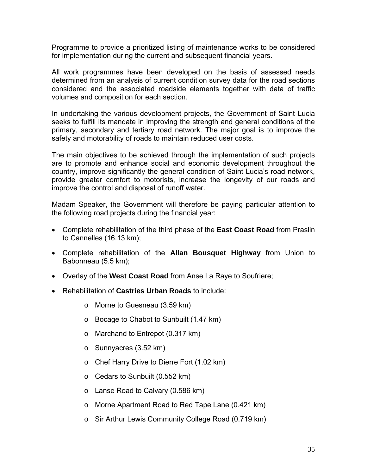Programme to provide a prioritized listing of maintenance works to be considered for implementation during the current and subsequent financial years.

All work programmes have been developed on the basis of assessed needs determined from an analysis of current condition survey data for the road sections considered and the associated roadside elements together with data of traffic volumes and composition for each section.

In undertaking the various development projects, the Government of Saint Lucia seeks to fulfill its mandate in improving the strength and general conditions of the primary, secondary and tertiary road network. The major goal is to improve the safety and motorability of roads to maintain reduced user costs.

The main objectives to be achieved through the implementation of such projects are to promote and enhance social and economic development throughout the country, improve significantly the general condition of Saint Lucia's road network, provide greater comfort to motorists, increase the longevity of our roads and improve the control and disposal of runoff water.

Madam Speaker, the Government will therefore be paying particular attention to the following road projects during the financial year:

- Complete rehabilitation of the third phase of the **East Coast Road** from Praslin to Cannelles (16.13 km);
- Complete rehabilitation of the **Allan Bousquet Highway** from Union to Babonneau (5.5 km);
- Overlay of the **West Coast Road** from Anse La Raye to Soufriere;
- Rehabilitation of **Castries Urban Roads** to include:
	- o Morne to Guesneau (3.59 km)
	- o Bocage to Chabot to Sunbuilt (1.47 km)
	- o Marchand to Entrepot (0.317 km)
	- o Sunnyacres (3.52 km)
	- o Chef Harry Drive to Dierre Fort (1.02 km)
	- o Cedars to Sunbuilt (0.552 km)
	- o Lanse Road to Calvary (0.586 km)
	- o Morne Apartment Road to Red Tape Lane (0.421 km)
	- o Sir Arthur Lewis Community College Road (0.719 km)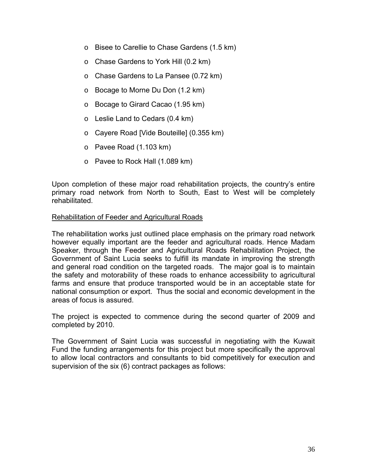- o Bisee to Carellie to Chase Gardens (1.5 km)
- o Chase Gardens to York Hill (0.2 km)
- o Chase Gardens to La Pansee (0.72 km)
- o Bocage to Morne Du Don (1.2 km)
- o Bocage to Girard Cacao (1.95 km)
- o Leslie Land to Cedars (0.4 km)
- o Cayere Road [Vide Bouteille] (0.355 km)
- o Pavee Road (1.103 km)
- o Pavee to Rock Hall (1.089 km)

Upon completion of these major road rehabilitation projects, the country's entire primary road network from North to South, East to West will be completely rehabilitated.

#### Rehabilitation of Feeder and Agricultural Roads

The rehabilitation works just outlined place emphasis on the primary road network however equally important are the feeder and agricultural roads. Hence Madam Speaker, through the Feeder and Agricultural Roads Rehabilitation Project, the Government of Saint Lucia seeks to fulfill its mandate in improving the strength and general road condition on the targeted roads. The major goal is to maintain the safety and motorability of these roads to enhance accessibility to agricultural farms and ensure that produce transported would be in an acceptable state for national consumption or export. Thus the social and economic development in the areas of focus is assured.

The project is expected to commence during the second quarter of 2009 and completed by 2010.

The Government of Saint Lucia was successful in negotiating with the Kuwait Fund the funding arrangements for this project but more specifically the approval to allow local contractors and consultants to bid competitively for execution and supervision of the six (6) contract packages as follows: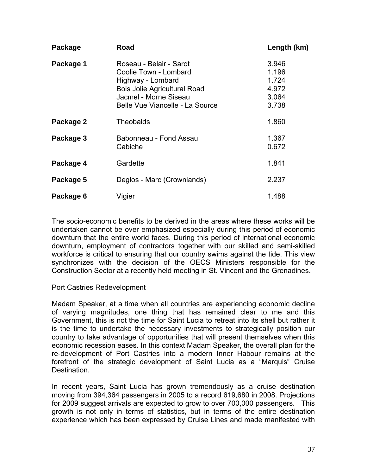| <b>Package</b> | Road                                                                                                                                                                     | Length (km)                                        |
|----------------|--------------------------------------------------------------------------------------------------------------------------------------------------------------------------|----------------------------------------------------|
| Package 1      | Roseau - Belair - Sarot<br>Coolie Town - Lombard<br>Highway - Lombard<br><b>Bois Jolie Agricultural Road</b><br>Jacmel - Morne Siseau<br>Belle Vue Viancelle - La Source | 3.946<br>1.196<br>1.724<br>4.972<br>3.064<br>3.738 |
| Package 2      | <b>Theobalds</b>                                                                                                                                                         | 1.860                                              |
| Package 3      | Babonneau - Fond Assau<br>Cabiche                                                                                                                                        | 1.367<br>0.672                                     |
| Package 4      | Gardette                                                                                                                                                                 | 1.841                                              |
| Package 5      | Deglos - Marc (Crownlands)                                                                                                                                               | 2.237                                              |
| Package 6      | Vigier                                                                                                                                                                   | 1.488                                              |

The socio-economic benefits to be derived in the areas where these works will be undertaken cannot be over emphasized especially during this period of economic downturn that the entire world faces. During this period of international economic downturn, employment of contractors together with our skilled and semi-skilled workforce is critical to ensuring that our country swims against the tide. This view synchronizes with the decision of the OECS Ministers responsible for the Construction Sector at a recently held meeting in St. Vincent and the Grenadines.

#### Port Castries Redevelopment

Madam Speaker, at a time when all countries are experiencing economic decline of varying magnitudes, one thing that has remained clear to me and this Government, this is not the time for Saint Lucia to retreat into its shell but rather it is the time to undertake the necessary investments to strategically position our country to take advantage of opportunities that will present themselves when this economic recession eases. In this context Madam Speaker, the overall plan for the re-development of Port Castries into a modern Inner Habour remains at the forefront of the strategic development of Saint Lucia as a "Marquis" Cruise Destination.

In recent years, Saint Lucia has grown tremendously as a cruise destination moving from 394,364 passengers in 2005 to a record 619,680 in 2008. Projections for 2009 suggest arrivals are expected to grow to over 700,000 passengers. This growth is not only in terms of statistics, but in terms of the entire destination experience which has been expressed by Cruise Lines and made manifested with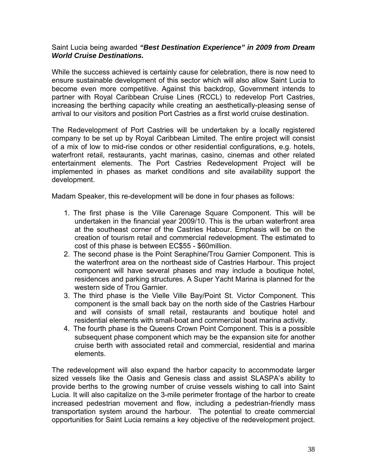#### Saint Lucia being awarded *"Best Destination Experience" in 2009 from Dream World Cruise Destinations.*

While the success achieved is certainly cause for celebration, there is now need to ensure sustainable development of this sector which will also allow Saint Lucia to become even more competitive. Against this backdrop, Government intends to partner with Royal Caribbean Cruise Lines (RCCL) to redevelop Port Castries, increasing the berthing capacity while creating an aesthetically-pleasing sense of arrival to our visitors and position Port Castries as a first world cruise destination.

The Redevelopment of Port Castries will be undertaken by a locally registered company to be set up by Royal Caribbean Limited. The entire project will consist of a mix of low to mid-rise condos or other residential configurations, e.g. hotels, waterfront retail, restaurants, yacht marinas, casino, cinemas and other related entertainment elements. The Port Castries Redevelopment Project will be implemented in phases as market conditions and site availability support the development.

Madam Speaker, this re-development will be done in four phases as follows:

- 1. The first phase is the Ville Carenage Square Component. This will be undertaken in the financial year 2009/10. This is the urban waterfront area at the southeast corner of the Castries Habour. Emphasis will be on the creation of tourism retail and commercial redevelopment. The estimated to cost of this phase is between EC\$55 - \$60million.
- 2. The second phase is the Point Seraphine/Trou Garnier Component. This is the waterfront area on the northeast side of Castries Harbour. This project component will have several phases and may include a boutique hotel, residences and parking structures. A Super Yacht Marina is planned for the western side of Trou Garnier.
- 3. The third phase is the Vielle Ville Bay/Point St. Victor Component. This component is the small back bay on the north side of the Castries Harbour and will consists of small retail, restaurants and boutique hotel and residential elements with small-boat and commercial boat marina activity.
- 4. The fourth phase is the Queens Crown Point Component. This is a possible subsequent phase component which may be the expansion site for another cruise berth with associated retail and commercial, residential and marina elements.

The redevelopment will also expand the harbor capacity to accommodate larger sized vessels like the Oasis and Genesis class and assist SLASPA's ability to provide berths to the growing number of cruise vessels wishing to call into Saint Lucia. It will also capitalize on the 3-mile perimeter frontage of the harbor to create increased pedestrian movement and flow, including a pedestrian-friendly mass transportation system around the harbour. The potential to create commercial opportunities for Saint Lucia remains a key objective of the redevelopment project.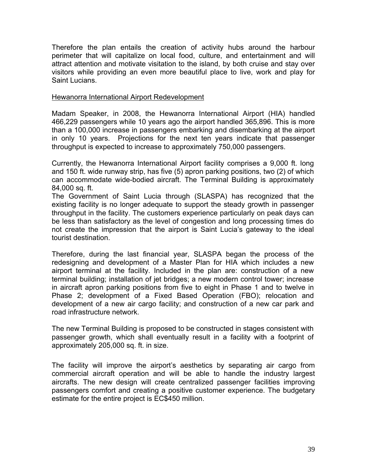Therefore the plan entails the creation of activity hubs around the harbour perimeter that will capitalize on local food, culture, and entertainment and will attract attention and motivate visitation to the island, by both cruise and stay over visitors while providing an even more beautiful place to live, work and play for Saint Lucians.

#### Hewanorra International Airport Redevelopment

Madam Speaker, in 2008, the Hewanorra International Airport (HIA) handled 466,229 passengers while 10 years ago the airport handled 365,896. This is more than a 100,000 increase in passengers embarking and disembarking at the airport in only 10 years. Projections for the next ten years indicate that passenger throughput is expected to increase to approximately 750,000 passengers.

Currently, the Hewanorra International Airport facility comprises a 9,000 ft. long and 150 ft. wide runway strip, has five (5) apron parking positions, two (2) of which can accommodate wide-bodied aircraft. The Terminal Building is approximately 84,000 sq. ft.

The Government of Saint Lucia through (SLASPA) has recognized that the existing facility is no longer adequate to support the steady growth in passenger throughput in the facility. The customers experience particularly on peak days can be less than satisfactory as the level of congestion and long processing times do not create the impression that the airport is Saint Lucia's gateway to the ideal tourist destination.

Therefore, during the last financial year, SLASPA began the process of the redesigning and development of a Master Plan for HIA which includes a new airport terminal at the facility. Included in the plan are: construction of a new terminal building; installation of jet bridges; a new modern control tower; increase in aircraft apron parking positions from five to eight in Phase 1 and to twelve in Phase 2; development of a Fixed Based Operation (FBO); relocation and development of a new air cargo facility; and construction of a new car park and road infrastructure network.

The new Terminal Building is proposed to be constructed in stages consistent with passenger growth, which shall eventually result in a facility with a footprint of approximately 205,000 sq. ft. in size.

The facility will improve the airport's aesthetics by separating air cargo from commercial aircraft operation and will be able to handle the industry largest aircrafts. The new design will create centralized passenger facilities improving passengers comfort and creating a positive customer experience. The budgetary estimate for the entire project is EC\$450 million.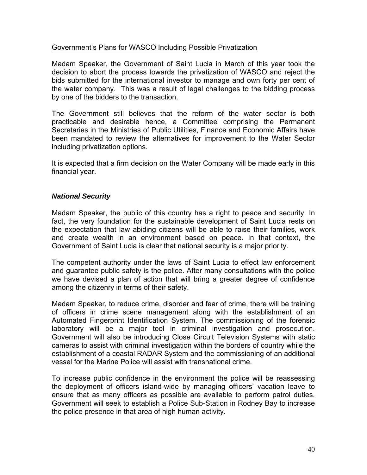### Government's Plans for WASCO Including Possible Privatization

Madam Speaker, the Government of Saint Lucia in March of this year took the decision to abort the process towards the privatization of WASCO and reject the bids submitted for the international investor to manage and own forty per cent of the water company. This was a result of legal challenges to the bidding process by one of the bidders to the transaction.

The Government still believes that the reform of the water sector is both practicable and desirable hence, a Committee comprising the Permanent Secretaries in the Ministries of Public Utilities, Finance and Economic Affairs have been mandated to review the alternatives for improvement to the Water Sector including privatization options.

It is expected that a firm decision on the Water Company will be made early in this financial year.

# *National Security*

Madam Speaker, the public of this country has a right to peace and security. In fact, the very foundation for the sustainable development of Saint Lucia rests on the expectation that law abiding citizens will be able to raise their families, work and create wealth in an environment based on peace. In that context, the Government of Saint Lucia is clear that national security is a major priority.

The competent authority under the laws of Saint Lucia to effect law enforcement and guarantee public safety is the police. After many consultations with the police we have devised a plan of action that will bring a greater degree of confidence among the citizenry in terms of their safety.

Madam Speaker, to reduce crime, disorder and fear of crime, there will be training of officers in crime scene management along with the establishment of an Automated Fingerprint Identification System. The commissioning of the forensic laboratory will be a major tool in criminal investigation and prosecution. Government will also be introducing Close Circuit Television Systems with static cameras to assist with criminal investigation within the borders of country while the establishment of a coastal RADAR System and the commissioning of an additional vessel for the Marine Police will assist with transnational crime.

To increase public confidence in the environment the police will be reassessing the deployment of officers island-wide by managing officers' vacation leave to ensure that as many officers as possible are available to perform patrol duties. Government will seek to establish a Police Sub-Station in Rodney Bay to increase the police presence in that area of high human activity.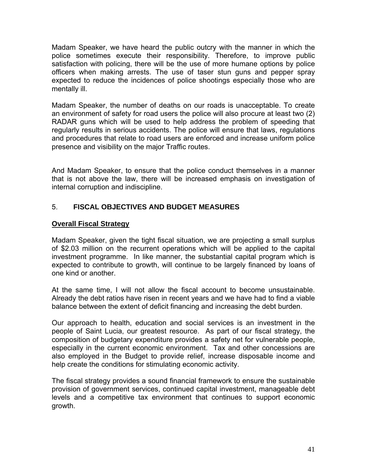Madam Speaker, we have heard the public outcry with the manner in which the police sometimes execute their responsibility. Therefore, to improve public satisfaction with policing, there will be the use of more humane options by police officers when making arrests. The use of taser stun guns and pepper spray expected to reduce the incidences of police shootings especially those who are mentally ill.

Madam Speaker, the number of deaths on our roads is unacceptable. To create an environment of safety for road users the police will also procure at least two (2) RADAR guns which will be used to help address the problem of speeding that regularly results in serious accidents. The police will ensure that laws, regulations and procedures that relate to road users are enforced and increase uniform police presence and visibility on the major Traffic routes.

And Madam Speaker, to ensure that the police conduct themselves in a manner that is not above the law, there will be increased emphasis on investigation of internal corruption and indiscipline.

# 5. **FISCAL OBJECTIVES AND BUDGET MEASURES**

# **Overall Fiscal Strategy**

Madam Speaker, given the tight fiscal situation, we are projecting a small surplus of \$2.03 million on the recurrent operations which will be applied to the capital investment programme. In like manner, the substantial capital program which is expected to contribute to growth, will continue to be largely financed by loans of one kind or another.

At the same time, I will not allow the fiscal account to become unsustainable. Already the debt ratios have risen in recent years and we have had to find a viable balance between the extent of deficit financing and increasing the debt burden.

Our approach to health, education and social services is an investment in the people of Saint Lucia, our greatest resource. As part of our fiscal strategy, the composition of budgetary expenditure provides a safety net for vulnerable people, especially in the current economic environment. Tax and other concessions are also employed in the Budget to provide relief, increase disposable income and help create the conditions for stimulating economic activity.

The fiscal strategy provides a sound financial framework to ensure the sustainable provision of government services, continued capital investment, manageable debt levels and a competitive tax environment that continues to support economic growth.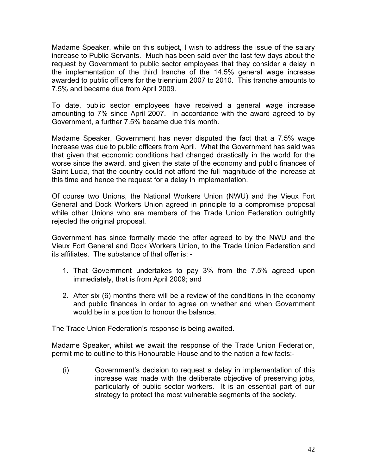Madame Speaker, while on this subject, I wish to address the issue of the salary increase to Public Servants. Much has been said over the last few days about the request by Government to public sector employees that they consider a delay in the implementation of the third tranche of the 14.5% general wage increase awarded to public officers for the triennium 2007 to 2010. This tranche amounts to 7.5% and became due from April 2009.

To date, public sector employees have received a general wage increase amounting to 7% since April 2007. In accordance with the award agreed to by Government, a further 7.5% became due this month.

Madame Speaker, Government has never disputed the fact that a 7.5% wage increase was due to public officers from April. What the Government has said was that given that economic conditions had changed drastically in the world for the worse since the award, and given the state of the economy and public finances of Saint Lucia, that the country could not afford the full magnitude of the increase at this time and hence the request for a delay in implementation.

Of course two Unions, the National Workers Union (NWU) and the Vieux Fort General and Dock Workers Union agreed in principle to a compromise proposal while other Unions who are members of the Trade Union Federation outrightly rejected the original proposal.

Government has since formally made the offer agreed to by the NWU and the Vieux Fort General and Dock Workers Union, to the Trade Union Federation and its affiliates. The substance of that offer is: -

- 1. That Government undertakes to pay 3% from the 7.5% agreed upon immediately, that is from April 2009; and
- 2. After six (6) months there will be a review of the conditions in the economy and public finances in order to agree on whether and when Government would be in a position to honour the balance.

The Trade Union Federation's response is being awaited.

Madame Speaker, whilst we await the response of the Trade Union Federation, permit me to outline to this Honourable House and to the nation a few facts:-

(i) Government's decision to request a delay in implementation of this increase was made with the deliberate objective of preserving jobs, particularly of public sector workers. It is an essential part of our strategy to protect the most vulnerable segments of the society.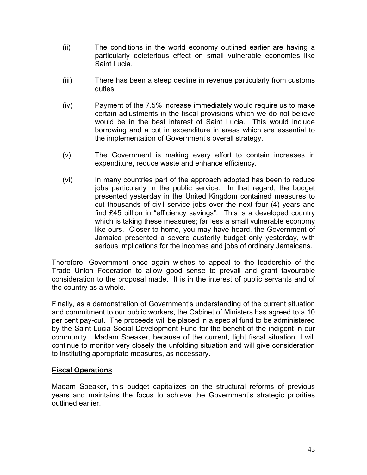- (ii) The conditions in the world economy outlined earlier are having a particularly deleterious effect on small vulnerable economies like Saint Lucia.
- (iii) There has been a steep decline in revenue particularly from customs duties.
- (iv) Payment of the 7.5% increase immediately would require us to make certain adjustments in the fiscal provisions which we do not believe would be in the best interest of Saint Lucia. This would include borrowing and a cut in expenditure in areas which are essential to the implementation of Government's overall strategy.
- (v) The Government is making every effort to contain increases in expenditure, reduce waste and enhance efficiency.
- (vi) In many countries part of the approach adopted has been to reduce jobs particularly in the public service. In that regard, the budget presented yesterday in the United Kingdom contained measures to cut thousands of civil service jobs over the next four (4) years and find £45 billion in "efficiency savings". This is a developed country which is taking these measures; far less a small vulnerable economy like ours. Closer to home, you may have heard, the Government of Jamaica presented a severe austerity budget only yesterday, with serious implications for the incomes and jobs of ordinary Jamaicans.

Therefore, Government once again wishes to appeal to the leadership of the Trade Union Federation to allow good sense to prevail and grant favourable consideration to the proposal made. It is in the interest of public servants and of the country as a whole.

Finally, as a demonstration of Government's understanding of the current situation and commitment to our public workers, the Cabinet of Ministers has agreed to a 10 per cent pay-cut. The proceeds will be placed in a special fund to be administered by the Saint Lucia Social Development Fund for the benefit of the indigent in our community. Madam Speaker, because of the current, tight fiscal situation, I will continue to monitor very closely the unfolding situation and will give consideration to instituting appropriate measures, as necessary.

# **Fiscal Operations**

Madam Speaker, this budget capitalizes on the structural reforms of previous years and maintains the focus to achieve the Government's strategic priorities outlined earlier.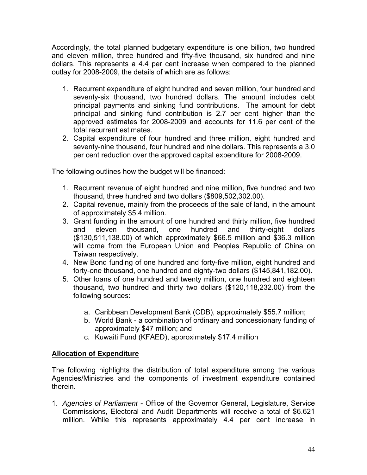Accordingly, the total planned budgetary expenditure is one billion, two hundred and eleven million, three hundred and fifty-five thousand, six hundred and nine dollars. This represents a 4.4 per cent increase when compared to the planned outlay for 2008-2009, the details of which are as follows:

- 1. Recurrent expenditure of eight hundred and seven million, four hundred and seventy-six thousand, two hundred dollars. The amount includes debt principal payments and sinking fund contributions. The amount for debt principal and sinking fund contribution is 2.7 per cent higher than the approved estimates for 2008-2009 and accounts for 11.6 per cent of the total recurrent estimates.
- 2. Capital expenditure of four hundred and three million, eight hundred and seventy-nine thousand, four hundred and nine dollars. This represents a 3.0 per cent reduction over the approved capital expenditure for 2008-2009.

The following outlines how the budget will be financed:

- 1. Recurrent revenue of eight hundred and nine million, five hundred and two thousand, three hundred and two dollars (\$809,502,302.00).
- 2. Capital revenue, mainly from the proceeds of the sale of land, in the amount of approximately \$5.4 million.
- 3. Grant funding in the amount of one hundred and thirty million, five hundred and eleven thousand, one hundred and thirty-eight dollars (\$130,511,138.00) of which approximately \$66.5 million and \$36.3 million will come from the European Union and Peoples Republic of China on Taiwan respectively.
- 4. New Bond funding of one hundred and forty-five million, eight hundred and forty-one thousand, one hundred and eighty-two dollars (\$145,841,182.00).
- 5. Other loans of one hundred and twenty million, one hundred and eighteen thousand, two hundred and thirty two dollars (\$120,118,232.00) from the following sources:
	- a. Caribbean Development Bank (CDB), approximately \$55.7 million;
	- b. World Bank a combination of ordinary and concessionary funding of approximately \$47 million; and
	- c. Kuwaiti Fund (KFAED), approximately \$17.4 million

# **Allocation of Expenditure**

The following highlights the distribution of total expenditure among the various Agencies/Ministries and the components of investment expenditure contained therein.

1. *Agencies of Parliament* - Office of the Governor General, Legislature, Service Commissions, Electoral and Audit Departments will receive a total of \$6.621 million. While this represents approximately 4.4 per cent increase in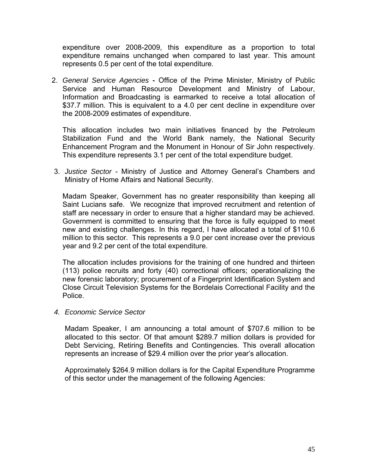expenditure over 2008-2009, this expenditure as a proportion to total expenditure remains unchanged when compared to last year. This amount represents 0.5 per cent of the total expenditure.

2. *General Service Agencies* **-** Office of the Prime Minister, Ministry of Public Service and Human Resource Development and Ministry of Labour, Information and Broadcasting is earmarked to receive a total allocation of \$37.7 million. This is equivalent to a 4.0 per cent decline in expenditure over the 2008-2009 estimates of expenditure.

This allocation includes two main initiatives financed by the Petroleum Stabilization Fund and the World Bank namely, the National Security Enhancement Program and the Monument in Honour of Sir John respectively. This expenditure represents 3.1 per cent of the total expenditure budget.

3. *Justice Sector* - Ministry of Justice and Attorney General's Chambers and Ministry of Home Affairs and National Security.

Madam Speaker, Government has no greater responsibility than keeping all Saint Lucians safe. We recognize that improved recruitment and retention of staff are necessary in order to ensure that a higher standard may be achieved. Government is committed to ensuring that the force is fully equipped to meet new and existing challenges. In this regard, I have allocated a total of \$110.6 million to this sector. This represents a 9.0 per cent increase over the previous year and 9.2 per cent of the total expenditure.

The allocation includes provisions for the training of one hundred and thirteen (113) police recruits and forty (40) correctional officers; operationalizing the new forensic laboratory; procurement of a Fingerprint Identification System and Close Circuit Television Systems for the Bordelais Correctional Facility and the Police.

#### *4. Economic Service Sector*

Madam Speaker, I am announcing a total amount of \$707.6 million to be allocated to this sector. Of that amount \$289.7 million dollars is provided for Debt Servicing, Retiring Benefits and Contingencies. This overall allocation represents an increase of \$29.4 million over the prior year's allocation.

Approximately \$264.9 million dollars is for the Capital Expenditure Programme of this sector under the management of the following Agencies: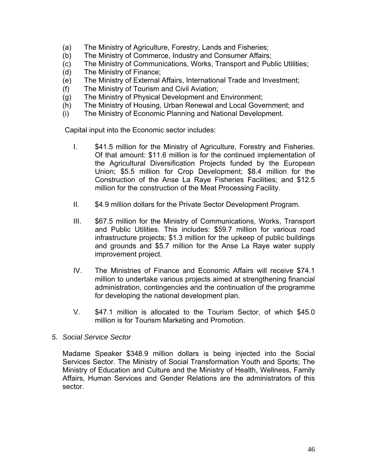- (a) The Ministry of Agriculture, Forestry, Lands and Fisheries;
- (b) The Ministry of Commerce, Industry and Consumer Affairs;
- (c) The Ministry of Communications, Works, Transport and Public Utilities;
- (d) The Ministry of Finance;
- (e) The Ministry of External Affairs, International Trade and Investment;
- (f) The Ministry of Tourism and Civil Aviation;
- (g) The Ministry of Physical Development and Environment;
- (h) The Ministry of Housing, Urban Renewal and Local Government; and
- (i) The Ministry of Economic Planning and National Development.

Capital input into the Economic sector includes:

- I. \$41.5 million for the Ministry of Agriculture, Forestry and Fisheries. Of that amount: \$11.6 million is for the continued implementation of the Agricultural Diversification Projects funded by the European Union; \$5.5 million for Crop Development; \$8.4 million for the Construction of the Anse La Raye Fisheries Facilities; and \$12.5 million for the construction of the Meat Processing Facility.
- II. \$4.9 million dollars for the Private Sector Development Program.
- III. \$67.5 million for the Ministry of Communications, Works, Transport and Public Utilities. This includes: \$59.7 million for various road infrastructure projects; \$1.3 million for the upkeep of public buildings and grounds and \$5.7 million for the Anse La Raye water supply improvement project.
- IV. The Ministries of Finance and Economic Affairs will receive \$74.1 million to undertake various projects aimed at strengthening financial administration, contingencies and the continuation of the programme for developing the national development plan.
- V. \$47.1 million is allocated to the Tourism Sector, of which \$45.0 million is for Tourism Marketing and Promotion.
- *5. Social Service Sector*

Madame Speaker \$348.9 million dollars is being injected into the Social Services Sector. The Ministry of Social Transformation Youth and Sports; The Ministry of Education and Culture and the Ministry of Health, Wellness, Family Affairs, Human Services and Gender Relations are the administrators of this sector.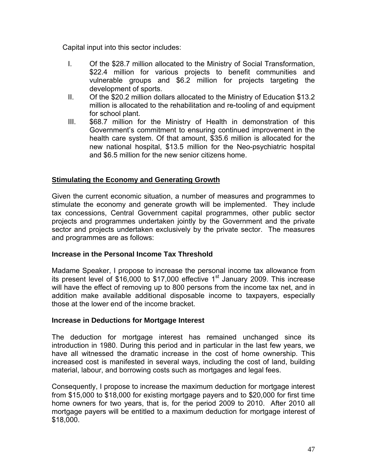Capital input into this sector includes:

- I. Of the \$28.7 million allocated to the Ministry of Social Transformation, \$22.4 million for various projects to benefit communities and vulnerable groups and \$6.2 million for projects targeting the development of sports.
- II. Of the \$20.2 million dollars allocated to the Ministry of Education \$13.2 million is allocated to the rehabilitation and re-tooling of and equipment for school plant.
- III. \$68.7 million for the Ministry of Health in demonstration of this Government's commitment to ensuring continued improvement in the health care system. Of that amount, \$35.6 million is allocated for the new national hospital, \$13.5 million for the Neo-psychiatric hospital and \$6.5 million for the new senior citizens home.

# **Stimulating the Economy and Generating Growth**

Given the current economic situation, a number of measures and programmes to stimulate the economy and generate growth will be implemented. They include tax concessions, Central Government capital programmes, other public sector projects and programmes undertaken jointly by the Government and the private sector and projects undertaken exclusively by the private sector. The measures and programmes are as follows:

# **Increase in the Personal Income Tax Threshold**

Madame Speaker, I propose to increase the personal income tax allowance from its present level of \$16,000 to \$17,000 effective 1<sup>st</sup> January 2009. This increase will have the effect of removing up to 800 persons from the income tax net, and in addition make available additional disposable income to taxpayers, especially those at the lower end of the income bracket.

#### **Increase in Deductions for Mortgage Interest**

The deduction for mortgage interest has remained unchanged since its introduction in 1980. During this period and in particular in the last few years, we have all witnessed the dramatic increase in the cost of home ownership. This increased cost is manifested in several ways, including the cost of land, building material, labour, and borrowing costs such as mortgages and legal fees.

Consequently, I propose to increase the maximum deduction for mortgage interest from \$15,000 to \$18,000 for existing mortgage payers and to \$20,000 for first time home owners for two years, that is, for the period 2009 to 2010. After 2010 all mortgage payers will be entitled to a maximum deduction for mortgage interest of \$18,000.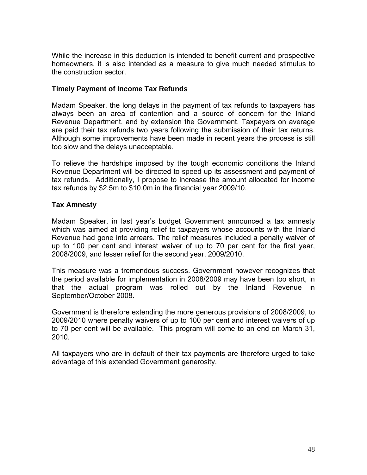While the increase in this deduction is intended to benefit current and prospective homeowners, it is also intended as a measure to give much needed stimulus to the construction sector.

#### **Timely Payment of Income Tax Refunds**

Madam Speaker, the long delays in the payment of tax refunds to taxpayers has always been an area of contention and a source of concern for the Inland Revenue Department, and by extension the Government. Taxpayers on average are paid their tax refunds two years following the submission of their tax returns. Although some improvements have been made in recent years the process is still too slow and the delays unacceptable.

To relieve the hardships imposed by the tough economic conditions the Inland Revenue Department will be directed to speed up its assessment and payment of tax refunds. Additionally, I propose to increase the amount allocated for income tax refunds by \$2.5m to \$10.0m in the financial year 2009/10.

# **Tax Amnesty**

Madam Speaker, in last year's budget Government announced a tax amnesty which was aimed at providing relief to taxpayers whose accounts with the Inland Revenue had gone into arrears. The relief measures included a penalty waiver of up to 100 per cent and interest waiver of up to 70 per cent for the first year, 2008/2009, and lesser relief for the second year, 2009/2010.

This measure was a tremendous success. Government however recognizes that the period available for implementation in 2008/2009 may have been too short, in that the actual program was rolled out by the Inland Revenue in September/October 2008.

Government is therefore extending the more generous provisions of 2008/2009, to 2009/2010 where penalty waivers of up to 100 per cent and interest waivers of up to 70 per cent will be available. This program will come to an end on March 31, 2010.

All taxpayers who are in default of their tax payments are therefore urged to take advantage of this extended Government generosity.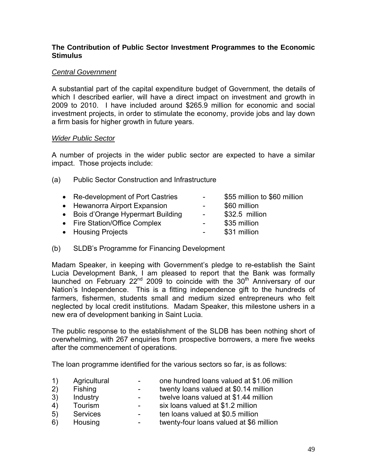### **The Contribution of Public Sector Investment Programmes to the Economic Stimulus**

# *Central Government*

A substantial part of the capital expenditure budget of Government, the details of which I described earlier, will have a direct impact on investment and growth in 2009 to 2010. I have included around \$265.9 million for economic and social investment projects, in order to stimulate the economy, provide jobs and lay down a firm basis for higher growth in future years.

# *Wider Public Sector*

A number of projects in the wider public sector are expected to have a similar impact. Those projects include:

- (a) Public Sector Construction and Infrastructure
	- Re-development of Port Castries \$55 million to \$60 million • Hewanorra Airport Expansion - \$60 million • Bois d'Orange Hypermart Building - \$32.5 million • Fire Station/Office Complex - \$35 million • Housing Projects **- \$31 million**
- (b) SLDB's Programme for Financing Development

Madam Speaker, in keeping with Government's pledge to re-establish the Saint Lucia Development Bank, I am pleased to report that the Bank was formally launched on February 22<sup>nd</sup> 2009 to coincide with the 30<sup>th</sup> Anniversary of our Nation's Independence. This is a fitting independence gift to the hundreds of farmers, fishermen, students small and medium sized entrepreneurs who felt neglected by local credit institutions. Madam Speaker, this milestone ushers in a new era of development banking in Saint Lucia.

The public response to the establishment of the SLDB has been nothing short of overwhelming, with 267 enquiries from prospective borrowers, a mere five weeks after the commencement of operations.

The loan programme identified for the various sectors so far, is as follows:

- 1) Agricultural one hundred loans valued at \$1.06 million 2) Fishing The Fishing Fishing Left Theorem is twenty loans valued at \$0.14 million 3) Industry - twelve loans valued at \$1.44 million 4) Tourism - six loans valued at \$1.2 million
- 5) Services ten loans valued at \$0.5 million
- 6) Housing twenty-four loans valued at \$6 million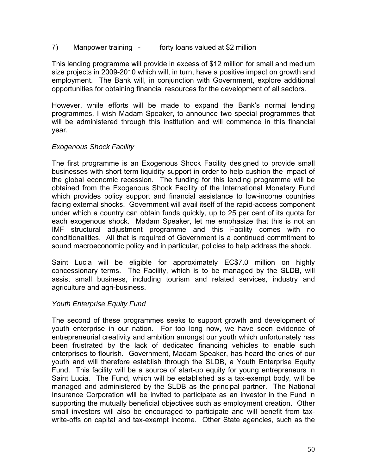#### 7) Manpower training - forty loans valued at \$2 million

This lending programme will provide in excess of \$12 million for small and medium size projects in 2009-2010 which will, in turn, have a positive impact on growth and employment. The Bank will, in conjunction with Government, explore additional opportunities for obtaining financial resources for the development of all sectors.

However, while efforts will be made to expand the Bank's normal lending programmes, I wish Madam Speaker, to announce two special programmes that will be administered through this institution and will commence in this financial year.

#### *Exogenous Shock Facility*

The first programme is an Exogenous Shock Facility designed to provide small businesses with short term liquidity support in order to help cushion the impact of the global economic recession. The funding for this lending programme will be obtained from the Exogenous Shock Facility of the International Monetary Fund which provides policy support and financial assistance to low-income countries facing external shocks. Government will avail itself of the rapid-access component under which a country can obtain funds quickly, up to 25 per cent of its quota for each exogenous shock. Madam Speaker, let me emphasize that this is not an IMF structural adjustment programme and this Facility comes with no conditionalities. All that is required of Government is a continued commitment to sound macroeconomic policy and in particular, policies to help address the shock.

Saint Lucia will be eligible for approximately EC\$7.0 million on highly concessionary terms. The Facility, which is to be managed by the SLDB, will assist small business, including tourism and related services, industry and agriculture and agri-business.

#### *Youth Enterprise Equity Fund*

The second of these programmes seeks to support growth and development of youth enterprise in our nation. For too long now, we have seen evidence of entrepreneurial creativity and ambition amongst our youth which unfortunately has been frustrated by the lack of dedicated financing vehicles to enable such enterprises to flourish. Government, Madam Speaker, has heard the cries of our youth and will therefore establish through the SLDB, a Youth Enterprise Equity Fund. This facility will be a source of start-up equity for young entrepreneurs in Saint Lucia. The Fund, which will be established as a tax-exempt body, will be managed and administered by the SLDB as the principal partner. The National Insurance Corporation will be invited to participate as an investor in the Fund in supporting the mutually beneficial objectives such as employment creation. Other small investors will also be encouraged to participate and will benefit from taxwrite-offs on capital and tax-exempt income. Other State agencies, such as the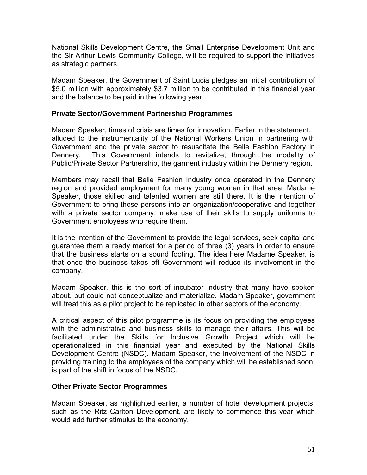National Skills Development Centre, the Small Enterprise Development Unit and the Sir Arthur Lewis Community College, will be required to support the initiatives as strategic partners.

Madam Speaker, the Government of Saint Lucia pledges an initial contribution of \$5.0 million with approximately \$3.7 million to be contributed in this financial year and the balance to be paid in the following year.

#### **Private Sector/Government Partnership Programmes**

Madam Speaker, times of crisis are times for innovation. Earlier in the statement, I alluded to the instrumentality of the National Workers Union in partnering with Government and the private sector to resuscitate the Belle Fashion Factory in Dennery. This Government intends to revitalize, through the modality of Public/Private Sector Partnership, the garment industry within the Dennery region.

Members may recall that Belle Fashion Industry once operated in the Dennery region and provided employment for many young women in that area. Madame Speaker, those skilled and talented women are still there. It is the intention of Government to bring those persons into an organization/cooperative and together with a private sector company, make use of their skills to supply uniforms to Government employees who require them.

It is the intention of the Government to provide the legal services, seek capital and guarantee them a ready market for a period of three (3) years in order to ensure that the business starts on a sound footing. The idea here Madame Speaker, is that once the business takes off Government will reduce its involvement in the company.

Madam Speaker, this is the sort of incubator industry that many have spoken about, but could not conceptualize and materialize. Madam Speaker, government will treat this as a pilot project to be replicated in other sectors of the economy.

A critical aspect of this pilot programme is its focus on providing the employees with the administrative and business skills to manage their affairs. This will be facilitated under the Skills for Inclusive Growth Project which will be operationalized in this financial year and executed by the National Skills Development Centre (NSDC). Madam Speaker, the involvement of the NSDC in providing training to the employees of the company which will be established soon, is part of the shift in focus of the NSDC.

#### **Other Private Sector Programmes**

Madam Speaker, as highlighted earlier, a number of hotel development projects, such as the Ritz Carlton Development, are likely to commence this year which would add further stimulus to the economy.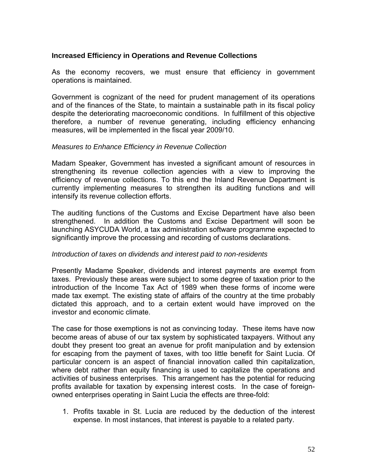### **Increased Efficiency in Operations and Revenue Collections**

As the economy recovers, we must ensure that efficiency in government operations is maintained.

Government is cognizant of the need for prudent management of its operations and of the finances of the State, to maintain a sustainable path in its fiscal policy despite the deteriorating macroeconomic conditions. In fulfillment of this objective therefore, a number of revenue generating, including efficiency enhancing measures, will be implemented in the fiscal year 2009/10.

#### *Measures to Enhance Efficiency in Revenue Collection*

Madam Speaker, Government has invested a significant amount of resources in strengthening its revenue collection agencies with a view to improving the efficiency of revenue collections. To this end the Inland Revenue Department is currently implementing measures to strengthen its auditing functions and will intensify its revenue collection efforts.

The auditing functions of the Customs and Excise Department have also been strengthened. In addition the Customs and Excise Department will soon be launching ASYCUDA World, a tax administration software programme expected to significantly improve the processing and recording of customs declarations.

#### *Introduction of taxes on dividends and interest paid to non-residents*

Presently Madame Speaker, dividends and interest payments are exempt from taxes. Previously these areas were subject to some degree of taxation prior to the introduction of the Income Tax Act of 1989 when these forms of income were made tax exempt. The existing state of affairs of the country at the time probably dictated this approach, and to a certain extent would have improved on the investor and economic climate.

The case for those exemptions is not as convincing today. These items have now become areas of abuse of our tax system by sophisticated taxpayers. Without any doubt they present too great an avenue for profit manipulation and by extension for escaping from the payment of taxes, with too little benefit for Saint Lucia. Of particular concern is an aspect of financial innovation called thin capitalization, where debt rather than equity financing is used to capitalize the operations and activities of business enterprises. This arrangement has the potential for reducing profits available for taxation by expensing interest costs. In the case of foreignowned enterprises operating in Saint Lucia the effects are three-fold:

1. Profits taxable in St. Lucia are reduced by the deduction of the interest expense. In most instances, that interest is payable to a related party.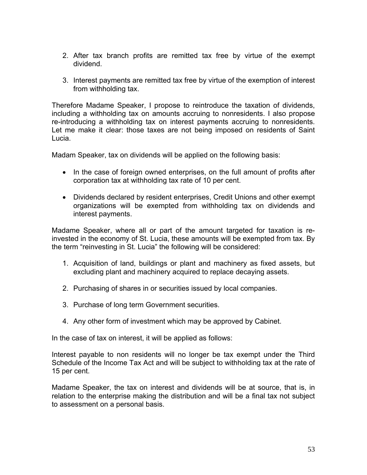- 2. After tax branch profits are remitted tax free by virtue of the exempt dividend.
- 3. Interest payments are remitted tax free by virtue of the exemption of interest from withholding tax.

Therefore Madame Speaker, I propose to reintroduce the taxation of dividends, including a withholding tax on amounts accruing to nonresidents. I also propose re-introducing a withholding tax on interest payments accruing to nonresidents. Let me make it clear: those taxes are not being imposed on residents of Saint Lucia.

Madam Speaker, tax on dividends will be applied on the following basis:

- In the case of foreign owned enterprises, on the full amount of profits after corporation tax at withholding tax rate of 10 per cent.
- Dividends declared by resident enterprises, Credit Unions and other exempt organizations will be exempted from withholding tax on dividends and interest payments.

Madame Speaker, where all or part of the amount targeted for taxation is reinvested in the economy of St. Lucia, these amounts will be exempted from tax. By the term "reinvesting in St. Lucia" the following will be considered:

- 1. Acquisition of land, buildings or plant and machinery as fixed assets, but excluding plant and machinery acquired to replace decaying assets.
- 2. Purchasing of shares in or securities issued by local companies.
- 3. Purchase of long term Government securities.
- 4. Any other form of investment which may be approved by Cabinet.

In the case of tax on interest, it will be applied as follows:

Interest payable to non residents will no longer be tax exempt under the Third Schedule of the Income Tax Act and will be subject to withholding tax at the rate of 15 per cent.

Madame Speaker, the tax on interest and dividends will be at source, that is, in relation to the enterprise making the distribution and will be a final tax not subject to assessment on a personal basis.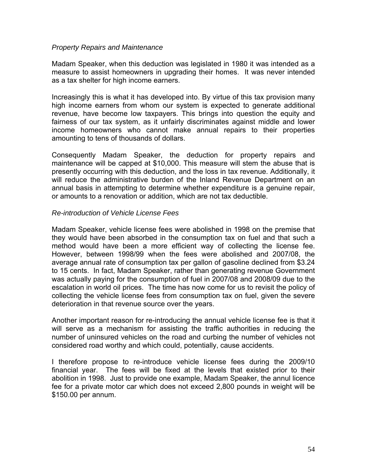#### *Property Repairs and Maintenance*

Madam Speaker, when this deduction was legislated in 1980 it was intended as a measure to assist homeowners in upgrading their homes. It was never intended as a tax shelter for high income earners.

Increasingly this is what it has developed into. By virtue of this tax provision many high income earners from whom our system is expected to generate additional revenue, have become low taxpayers. This brings into question the equity and fairness of our tax system, as it unfairly discriminates against middle and lower income homeowners who cannot make annual repairs to their properties amounting to tens of thousands of dollars.

Consequently Madam Speaker, the deduction for property repairs and maintenance will be capped at \$10,000. This measure will stem the abuse that is presently occurring with this deduction, and the loss in tax revenue. Additionally, it will reduce the administrative burden of the Inland Revenue Department on an annual basis in attempting to determine whether expenditure is a genuine repair, or amounts to a renovation or addition, which are not tax deductible.

#### *Re-introduction of Vehicle License Fees*

Madam Speaker, vehicle license fees were abolished in 1998 on the premise that they would have been absorbed in the consumption tax on fuel and that such a method would have been a more efficient way of collecting the license fee. However, between 1998/99 when the fees were abolished and 2007/08, the average annual rate of consumption tax per gallon of gasoline declined from \$3.24 to 15 cents. In fact, Madam Speaker, rather than generating revenue Government was actually paying for the consumption of fuel in 2007/08 and 2008/09 due to the escalation in world oil prices. The time has now come for us to revisit the policy of collecting the vehicle license fees from consumption tax on fuel, given the severe deterioration in that revenue source over the years.

Another important reason for re-introducing the annual vehicle license fee is that it will serve as a mechanism for assisting the traffic authorities in reducing the number of uninsured vehicles on the road and curbing the number of vehicles not considered road worthy and which could, potentially, cause accidents.

I therefore propose to re-introduce vehicle license fees during the 2009/10 financial year. The fees will be fixed at the levels that existed prior to their abolition in 1998. Just to provide one example, Madam Speaker, the annul licence fee for a private motor car which does not exceed 2,800 pounds in weight will be \$150.00 per annum.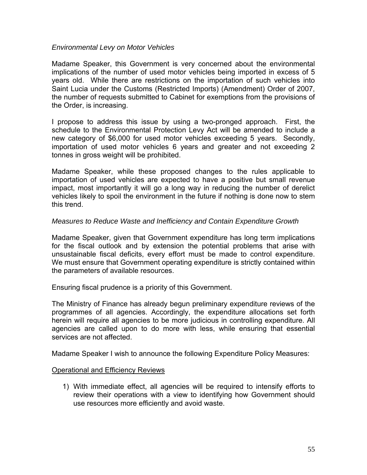#### *Environmental Levy on Motor Vehicles*

Madame Speaker, this Government is very concerned about the environmental implications of the number of used motor vehicles being imported in excess of 5 years old. While there are restrictions on the importation of such vehicles into Saint Lucia under the Customs (Restricted Imports) (Amendment) Order of 2007, the number of requests submitted to Cabinet for exemptions from the provisions of the Order, is increasing.

I propose to address this issue by using a two-pronged approach. First, the schedule to the Environmental Protection Levy Act will be amended to include a new category of \$6,000 for used motor vehicles exceeding 5 years. Secondly, importation of used motor vehicles 6 years and greater and not exceeding 2 tonnes in gross weight will be prohibited.

Madame Speaker, while these proposed changes to the rules applicable to importation of used vehicles are expected to have a positive but small revenue impact, most importantly it will go a long way in reducing the number of derelict vehicles likely to spoil the environment in the future if nothing is done now to stem this trend.

#### *Measures to Reduce Waste and Inefficiency and Contain Expenditure Growth*

Madame Speaker, given that Government expenditure has long term implications for the fiscal outlook and by extension the potential problems that arise with unsustainable fiscal deficits, every effort must be made to control expenditure. We must ensure that Government operating expenditure is strictly contained within the parameters of available resources.

Ensuring fiscal prudence is a priority of this Government.

The Ministry of Finance has already begun preliminary expenditure reviews of the programmes of all agencies. Accordingly, the expenditure allocations set forth herein will require all agencies to be more judicious in controlling expenditure. All agencies are called upon to do more with less, while ensuring that essential services are not affected.

Madame Speaker I wish to announce the following Expenditure Policy Measures:

#### Operational and Efficiency Reviews

1) With immediate effect, all agencies will be required to intensify efforts to review their operations with a view to identifying how Government should use resources more efficiently and avoid waste.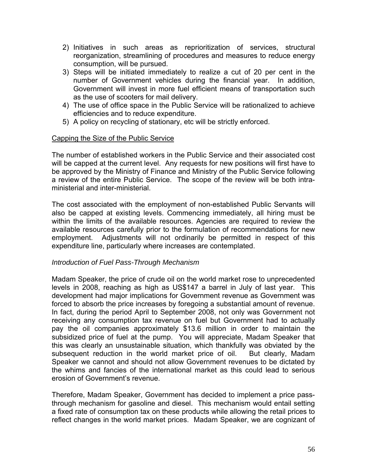- 2) Initiatives in such areas as reprioritization of services, structural reorganization, streamlining of procedures and measures to reduce energy consumption, will be pursued.
- 3) Steps will be initiated immediately to realize a cut of 20 per cent in the number of Government vehicles during the financial year. In addition, Government will invest in more fuel efficient means of transportation such as the use of scooters for mail delivery.
- 4) The use of office space in the Public Service will be rationalized to achieve efficiencies and to reduce expenditure.
- 5) A policy on recycling of stationary, etc will be strictly enforced.

# Capping the Size of the Public Service

The number of established workers in the Public Service and their associated cost will be capped at the current level. Any requests for new positions will first have to be approved by the Ministry of Finance and Ministry of the Public Service following a review of the entire Public Service. The scope of the review will be both intraministerial and inter-ministerial.

The cost associated with the employment of non-established Public Servants will also be capped at existing levels. Commencing immediately, all hiring must be within the limits of the available resources. Agencies are required to review the available resources carefully prior to the formulation of recommendations for new employment. Adjustments will not ordinarily be permitted in respect of this expenditure line, particularly where increases are contemplated.

#### *Introduction of Fuel Pass-Through Mechanism*

Madam Speaker, the price of crude oil on the world market rose to unprecedented levels in 2008, reaching as high as US\$147 a barrel in July of last year. This development had major implications for Government revenue as Government was forced to absorb the price increases by foregoing a substantial amount of revenue. In fact, during the period April to September 2008, not only was Government not receiving any consumption tax revenue on fuel but Government had to actually pay the oil companies approximately \$13.6 million in order to maintain the subsidized price of fuel at the pump. You will appreciate, Madam Speaker that this was clearly an unsustainable situation, which thankfully was obviated by the subsequent reduction in the world market price of oil. But clearly, Madam Speaker we cannot and should not allow Government revenues to be dictated by the whims and fancies of the international market as this could lead to serious erosion of Government's revenue.

Therefore, Madam Speaker, Government has decided to implement a price passthrough mechanism for gasoline and diesel. This mechanism would entail setting a fixed rate of consumption tax on these products while allowing the retail prices to reflect changes in the world market prices. Madam Speaker, we are cognizant of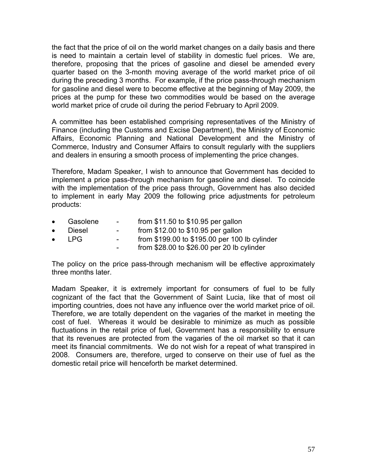the fact that the price of oil on the world market changes on a daily basis and there is need to maintain a certain level of stability in domestic fuel prices. We are, therefore, proposing that the prices of gasoline and diesel be amended every quarter based on the 3-month moving average of the world market price of oil during the preceding 3 months. For example, if the price pass-through mechanism for gasoline and diesel were to become effective at the beginning of May 2009, the prices at the pump for these two commodities would be based on the average world market price of crude oil during the period February to April 2009.

A committee has been established comprising representatives of the Ministry of Finance (including the Customs and Excise Department), the Ministry of Economic Affairs, Economic Planning and National Development and the Ministry of Commerce, Industry and Consumer Affairs to consult regularly with the suppliers and dealers in ensuring a smooth process of implementing the price changes.

Therefore, Madam Speaker, I wish to announce that Government has decided to implement a price pass-through mechanism for gasoline and diesel. To coincide with the implementation of the price pass through, Government has also decided to implement in early May 2009 the following price adjustments for petroleum products:

- Gasolene from \$11.50 to \$10.95 per gallon<br>Diesel from \$12.00 to \$10.95 per gallon
- Diesel from \$12.00 to \$10.95 per gallon
- LPG from \$199.00 to \$195.00 per 100 lb cylinder
	- from \$28.00 to \$26.00 per 20 lb cylinder

The policy on the price pass-through mechanism will be effective approximately three months later.

Madam Speaker, it is extremely important for consumers of fuel to be fully cognizant of the fact that the Government of Saint Lucia, like that of most oil importing countries, does not have any influence over the world market price of oil. Therefore, we are totally dependent on the vagaries of the market in meeting the cost of fuel. Whereas it would be desirable to minimize as much as possible fluctuations in the retail price of fuel, Government has a responsibility to ensure that its revenues are protected from the vagaries of the oil market so that it can meet its financial commitments. We do not wish for a repeat of what transpired in 2008. Consumers are, therefore, urged to conserve on their use of fuel as the domestic retail price will henceforth be market determined.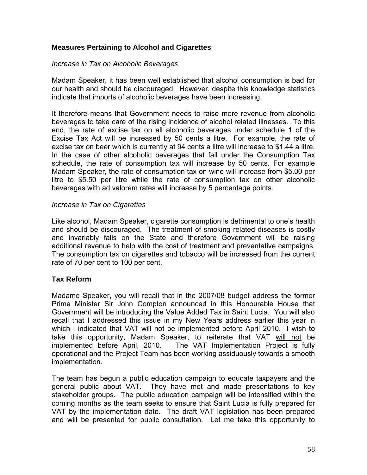# **Measures Pertaining to Alcohol and Cigarettes**

#### *Increase in Tax on Alcoholic Beverages*

Madam Speaker, it has been well established that alcohol consumption is bad for our health and should be discouraged. However, despite this knowledge statistics indicate that imports of alcoholic beverages have been increasing.

It therefore means that Government needs to raise more revenue from alcoholic beverages to take care of the rising incidence of alcohol related illnesses. To this end, the rate of excise tax on all alcoholic beverages under schedule 1 of the Excise Tax Act will be increased by 50 cents a litre. For example, the rate of excise tax on beer which is currently at 94 cents a litre will increase to \$1.44 a litre. In the case of other alcoholic beverages that fall under the Consumption Tax schedule, the rate of consumption tax will increase by 50 cents. For example Madam Speaker, the rate of consumption tax on wine will increase from \$5.00 per litre to \$5.50 per litre while the rate of consumption tax on other alcoholic beverages with ad valorem rates will increase by 5 percentage points.

#### *Increase in Tax on Cigarettes*

Like alcohol, Madam Speaker, cigarette consumption is detrimental to one's health and should be discouraged. The treatment of smoking related diseases is costly and invariably falls on the State and therefore Government will be raising additional revenue to help with the cost of treatment and preventative campaigns. The consumption tax on cigarettes and tobacco will be increased from the current rate of 70 per cent to 100 per cent.

#### **Tax Reform**

Madame Speaker, you will recall that in the 2007/08 budget address the former Prime Minister Sir John Compton announced in this Honourable House that Government will be introducing the Value Added Tax in Saint Lucia. You will also recall that I addressed this issue in my New Years address earlier this year in which I indicated that VAT will not be implemented before April 2010. I wish to take this opportunity, Madam Speaker, to reiterate that VAT will not be implemented before April, 2010. The VAT Implementation Project is fully operational and the Project Team has been working assiduously towards a smooth implementation.

The team has begun a public education campaign to educate taxpayers and the general public about VAT. They have met and made presentations to key stakeholder groups. The public education campaign will be intensified within the coming months as the team seeks to ensure that Saint Lucia is fully prepared for VAT by the implementation date. The draft VAT legislation has been prepared and will be presented for public consultation. Let me take this opportunity to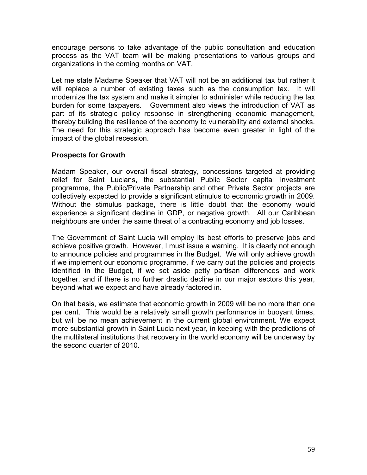encourage persons to take advantage of the public consultation and education process as the VAT team will be making presentations to various groups and organizations in the coming months on VAT.

Let me state Madame Speaker that VAT will not be an additional tax but rather it will replace a number of existing taxes such as the consumption tax. It will modernize the tax system and make it simpler to administer while reducing the tax burden for some taxpayers. Government also views the introduction of VAT as part of its strategic policy response in strengthening economic management, thereby building the resilience of the economy to vulnerability and external shocks. The need for this strategic approach has become even greater in light of the impact of the global recession.

# **Prospects for Growth**

Madam Speaker, our overall fiscal strategy, concessions targeted at providing relief for Saint Lucians, the substantial Public Sector capital investment programme, the Public/Private Partnership and other Private Sector projects are collectively expected to provide a significant stimulus to economic growth in 2009. Without the stimulus package, there is little doubt that the economy would experience a significant decline in GDP, or negative growth. All our Caribbean neighbours are under the same threat of a contracting economy and job losses.

The Government of Saint Lucia will employ its best efforts to preserve jobs and achieve positive growth. However, I must issue a warning. It is clearly not enough to announce policies and programmes in the Budget. We will only achieve growth if we implement our economic programme, if we carry out the policies and projects identified in the Budget, if we set aside petty partisan differences and work together, and if there is no further drastic decline in our major sectors this year, beyond what we expect and have already factored in.

On that basis, we estimate that economic growth in 2009 will be no more than one per cent. This would be a relatively small growth performance in buoyant times, but will be no mean achievement in the current global environment. We expect more substantial growth in Saint Lucia next year, in keeping with the predictions of the multilateral institutions that recovery in the world economy will be underway by the second quarter of 2010.